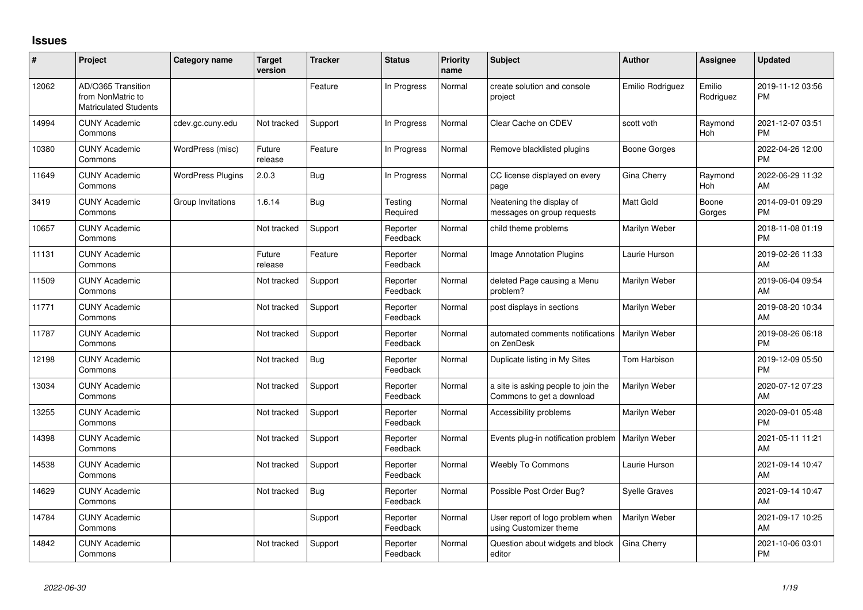## **Issues**

| #     | Project                                                                 | Category name            | <b>Target</b><br>version | <b>Tracker</b> | <b>Status</b>        | <b>Priority</b><br>name | <b>Subject</b>                                                   | <b>Author</b>        | <b>Assignee</b>     | <b>Updated</b>                |
|-------|-------------------------------------------------------------------------|--------------------------|--------------------------|----------------|----------------------|-------------------------|------------------------------------------------------------------|----------------------|---------------------|-------------------------------|
| 12062 | AD/O365 Transition<br>from NonMatric to<br><b>Matriculated Students</b> |                          |                          | Feature        | In Progress          | Normal                  | create solution and console<br>project                           | Emilio Rodriguez     | Emilio<br>Rodriguez | 2019-11-12 03:56<br><b>PM</b> |
| 14994 | <b>CUNY Academic</b><br>Commons                                         | cdev.gc.cuny.edu         | Not tracked              | Support        | In Progress          | Normal                  | Clear Cache on CDEV                                              | scott voth           | Raymond<br>Hoh      | 2021-12-07 03:51<br><b>PM</b> |
| 10380 | <b>CUNY Academic</b><br>Commons                                         | WordPress (misc)         | Future<br>release        | Feature        | In Progress          | Normal                  | Remove blacklisted plugins                                       | <b>Boone Gorges</b>  |                     | 2022-04-26 12:00<br><b>PM</b> |
| 11649 | <b>CUNY Academic</b><br>Commons                                         | <b>WordPress Plugins</b> | 2.0.3                    | <b>Bug</b>     | In Progress          | Normal                  | CC license displayed on every<br>page                            | Gina Cherry          | Raymond<br>Hoh      | 2022-06-29 11:32<br>AM        |
| 3419  | <b>CUNY Academic</b><br>Commons                                         | Group Invitations        | 1.6.14                   | <b>Bug</b>     | Testing<br>Required  | Normal                  | Neatening the display of<br>messages on group requests           | <b>Matt Gold</b>     | Boone<br>Gorges     | 2014-09-01 09:29<br><b>PM</b> |
| 10657 | <b>CUNY Academic</b><br>Commons                                         |                          | Not tracked              | Support        | Reporter<br>Feedback | Normal                  | child theme problems                                             | Marilyn Weber        |                     | 2018-11-08 01:19<br><b>PM</b> |
| 11131 | <b>CUNY Academic</b><br>Commons                                         |                          | Future<br>release        | Feature        | Reporter<br>Feedback | Normal                  | Image Annotation Plugins                                         | Laurie Hurson        |                     | 2019-02-26 11:33<br>AM        |
| 11509 | <b>CUNY Academic</b><br>Commons                                         |                          | Not tracked              | Support        | Reporter<br>Feedback | Normal                  | deleted Page causing a Menu<br>problem?                          | Marilyn Weber        |                     | 2019-06-04 09:54<br>AM        |
| 11771 | <b>CUNY Academic</b><br>Commons                                         |                          | Not tracked              | Support        | Reporter<br>Feedback | Normal                  | post displays in sections                                        | Marilyn Weber        |                     | 2019-08-20 10:34<br>AM        |
| 11787 | <b>CUNY Academic</b><br>Commons                                         |                          | Not tracked              | Support        | Reporter<br>Feedback | Normal                  | automated comments notifications<br>on ZenDesk                   | Marilyn Weber        |                     | 2019-08-26 06:18<br><b>PM</b> |
| 12198 | <b>CUNY Academic</b><br>Commons                                         |                          | Not tracked              | Bug            | Reporter<br>Feedback | Normal                  | Duplicate listing in My Sites                                    | <b>Tom Harbison</b>  |                     | 2019-12-09 05:50<br><b>PM</b> |
| 13034 | <b>CUNY Academic</b><br>Commons                                         |                          | Not tracked              | Support        | Reporter<br>Feedback | Normal                  | a site is asking people to join the<br>Commons to get a download | Marilyn Weber        |                     | 2020-07-12 07:23<br>AM        |
| 13255 | <b>CUNY Academic</b><br>Commons                                         |                          | Not tracked              | Support        | Reporter<br>Feedback | Normal                  | Accessibility problems                                           | Marilyn Weber        |                     | 2020-09-01 05:48<br><b>PM</b> |
| 14398 | <b>CUNY Academic</b><br>Commons                                         |                          | Not tracked              | Support        | Reporter<br>Feedback | Normal                  | Events plug-in notification problem   Marilyn Weber              |                      |                     | 2021-05-11 11:21<br>AM        |
| 14538 | <b>CUNY Academic</b><br>Commons                                         |                          | Not tracked              | Support        | Reporter<br>Feedback | Normal                  | <b>Weebly To Commons</b>                                         | Laurie Hurson        |                     | 2021-09-14 10:47<br>AM        |
| 14629 | <b>CUNY Academic</b><br>Commons                                         |                          | Not tracked              | Bug            | Reporter<br>Feedback | Normal                  | Possible Post Order Bug?                                         | <b>Syelle Graves</b> |                     | 2021-09-14 10:47<br>AM        |
| 14784 | <b>CUNY Academic</b><br>Commons                                         |                          |                          | Support        | Reporter<br>Feedback | Normal                  | User report of logo problem when<br>using Customizer theme       | Marilyn Weber        |                     | 2021-09-17 10:25<br>AM        |
| 14842 | <b>CUNY Academic</b><br>Commons                                         |                          | Not tracked              | Support        | Reporter<br>Feedback | Normal                  | Question about widgets and block<br>editor                       | Gina Cherry          |                     | 2021-10-06 03:01<br><b>PM</b> |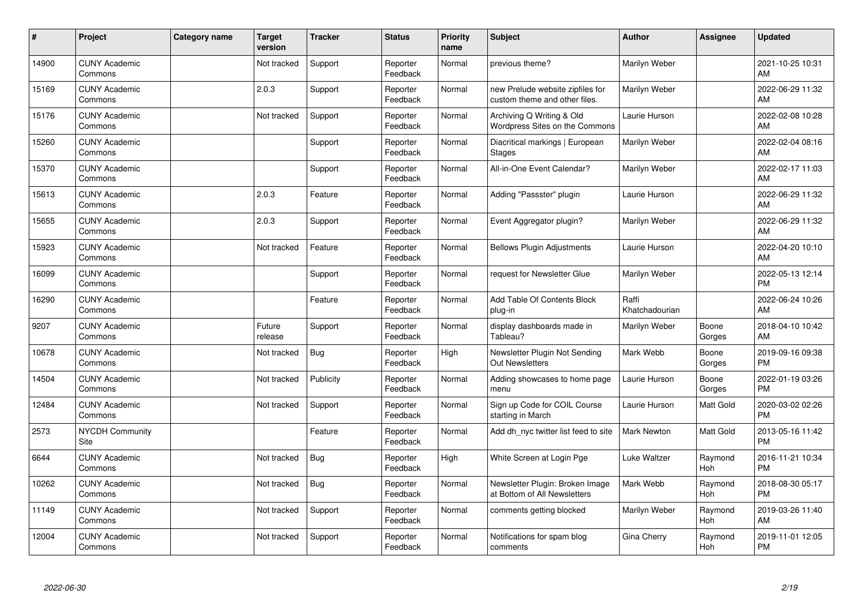| #     | Project                         | Category name | <b>Target</b><br>version | <b>Tracker</b> | <b>Status</b>        | <b>Priority</b><br>name | <b>Subject</b>                                                    | <b>Author</b>           | <b>Assignee</b> | <b>Updated</b>                |
|-------|---------------------------------|---------------|--------------------------|----------------|----------------------|-------------------------|-------------------------------------------------------------------|-------------------------|-----------------|-------------------------------|
| 14900 | <b>CUNY Academic</b><br>Commons |               | Not tracked              | Support        | Reporter<br>Feedback | Normal                  | previous theme?                                                   | Marilyn Weber           |                 | 2021-10-25 10:31<br>AM        |
| 15169 | <b>CUNY Academic</b><br>Commons |               | 2.0.3                    | Support        | Reporter<br>Feedback | Normal                  | new Prelude website zipfiles for<br>custom theme and other files. | Marilyn Weber           |                 | 2022-06-29 11:32<br><b>AM</b> |
| 15176 | <b>CUNY Academic</b><br>Commons |               | Not tracked              | Support        | Reporter<br>Feedback | Normal                  | Archiving Q Writing & Old<br>Wordpress Sites on the Commons       | Laurie Hurson           |                 | 2022-02-08 10:28<br>AM        |
| 15260 | <b>CUNY Academic</b><br>Commons |               |                          | Support        | Reporter<br>Feedback | Normal                  | Diacritical markings   European<br><b>Stages</b>                  | Marilyn Weber           |                 | 2022-02-04 08:16<br>AM        |
| 15370 | <b>CUNY Academic</b><br>Commons |               |                          | Support        | Reporter<br>Feedback | Normal                  | All-in-One Event Calendar?                                        | Marilyn Weber           |                 | 2022-02-17 11:03<br><b>AM</b> |
| 15613 | <b>CUNY Academic</b><br>Commons |               | 2.0.3                    | Feature        | Reporter<br>Feedback | Normal                  | Adding "Passster" plugin                                          | Laurie Hurson           |                 | 2022-06-29 11:32<br>AM        |
| 15655 | <b>CUNY Academic</b><br>Commons |               | 2.0.3                    | Support        | Reporter<br>Feedback | Normal                  | Event Aggregator plugin?                                          | Marilyn Weber           |                 | 2022-06-29 11:32<br>AM        |
| 15923 | <b>CUNY Academic</b><br>Commons |               | Not tracked              | Feature        | Reporter<br>Feedback | Normal                  | <b>Bellows Plugin Adjustments</b>                                 | Laurie Hurson           |                 | 2022-04-20 10:10<br>AM        |
| 16099 | <b>CUNY Academic</b><br>Commons |               |                          | Support        | Reporter<br>Feedback | Normal                  | request for Newsletter Glue                                       | Marilyn Weber           |                 | 2022-05-13 12:14<br><b>PM</b> |
| 16290 | <b>CUNY Academic</b><br>Commons |               |                          | Feature        | Reporter<br>Feedback | Normal                  | Add Table Of Contents Block<br>plug-in                            | Raffi<br>Khatchadourian |                 | 2022-06-24 10:26<br>AM        |
| 9207  | <b>CUNY Academic</b><br>Commons |               | Future<br>release        | Support        | Reporter<br>Feedback | Normal                  | display dashboards made in<br>Tableau?                            | Marilyn Weber           | Boone<br>Gorges | 2018-04-10 10:42<br>AM        |
| 10678 | <b>CUNY Academic</b><br>Commons |               | Not tracked              | Bug            | Reporter<br>Feedback | High                    | Newsletter Plugin Not Sending<br><b>Out Newsletters</b>           | Mark Webb               | Boone<br>Gorges | 2019-09-16 09:38<br><b>PM</b> |
| 14504 | <b>CUNY Academic</b><br>Commons |               | Not tracked              | Publicity      | Reporter<br>Feedback | Normal                  | Adding showcases to home page<br>menu                             | Laurie Hurson           | Boone<br>Gorges | 2022-01-19 03:26<br><b>PM</b> |
| 12484 | <b>CUNY Academic</b><br>Commons |               | Not tracked              | Support        | Reporter<br>Feedback | Normal                  | Sign up Code for COIL Course<br>starting in March                 | Laurie Hurson           | Matt Gold       | 2020-03-02 02:26<br><b>PM</b> |
| 2573  | <b>NYCDH Community</b><br>Site  |               |                          | Feature        | Reporter<br>Feedback | Normal                  | Add dh nyc twitter list feed to site                              | Mark Newton             | Matt Gold       | 2013-05-16 11:42<br><b>PM</b> |
| 6644  | <b>CUNY Academic</b><br>Commons |               | Not tracked              | Bug            | Reporter<br>Feedback | High                    | White Screen at Login Pge                                         | Luke Waltzer            | Raymond<br>Hoh  | 2016-11-21 10:34<br><b>PM</b> |
| 10262 | <b>CUNY Academic</b><br>Commons |               | Not tracked              | Bug            | Reporter<br>Feedback | Normal                  | Newsletter Plugin: Broken Image<br>at Bottom of All Newsletters   | Mark Webb               | Raymond<br>Hoh  | 2018-08-30 05:17<br><b>PM</b> |
| 11149 | <b>CUNY Academic</b><br>Commons |               | Not tracked              | Support        | Reporter<br>Feedback | Normal                  | comments getting blocked                                          | Marilyn Weber           | Raymond<br>Hoh  | 2019-03-26 11:40<br>AM        |
| 12004 | <b>CUNY Academic</b><br>Commons |               | Not tracked              | Support        | Reporter<br>Feedback | Normal                  | Notifications for spam blog<br>comments                           | Gina Cherry             | Raymond<br>Hoh  | 2019-11-01 12:05<br>PM        |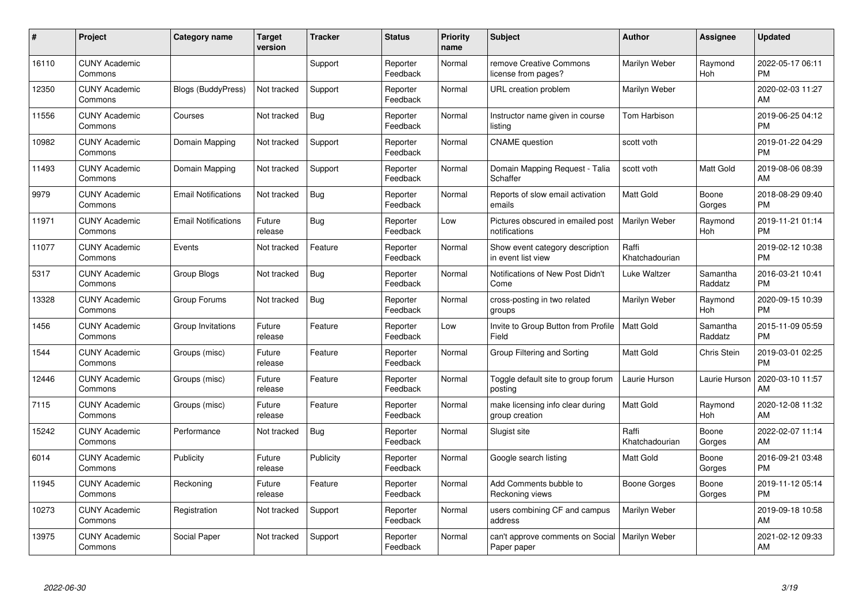| #     | Project                         | <b>Category name</b>       | <b>Target</b><br>version | <b>Tracker</b> | <b>Status</b>        | Priority<br>name | <b>Subject</b>                                        | <b>Author</b>           | Assignee            | <b>Updated</b>                |
|-------|---------------------------------|----------------------------|--------------------------|----------------|----------------------|------------------|-------------------------------------------------------|-------------------------|---------------------|-------------------------------|
| 16110 | <b>CUNY Academic</b><br>Commons |                            |                          | Support        | Reporter<br>Feedback | Normal           | remove Creative Commons<br>license from pages?        | Marilyn Weber           | Raymond<br>Hoh      | 2022-05-17 06:11<br><b>PM</b> |
| 12350 | <b>CUNY Academic</b><br>Commons | <b>Blogs (BuddyPress)</b>  | Not tracked              | Support        | Reporter<br>Feedback | Normal           | URL creation problem                                  | Marilyn Weber           |                     | 2020-02-03 11:27<br>AM        |
| 11556 | <b>CUNY Academic</b><br>Commons | Courses                    | Not tracked              | Bug            | Reporter<br>Feedback | Normal           | Instructor name given in course<br>listing            | Tom Harbison            |                     | 2019-06-25 04:12<br><b>PM</b> |
| 10982 | <b>CUNY Academic</b><br>Commons | Domain Mapping             | Not tracked              | Support        | Reporter<br>Feedback | Normal           | <b>CNAME</b> question                                 | scott voth              |                     | 2019-01-22 04:29<br><b>PM</b> |
| 11493 | <b>CUNY Academic</b><br>Commons | Domain Mapping             | Not tracked              | Support        | Reporter<br>Feedback | Normal           | Domain Mapping Request - Talia<br>Schaffer            | scott voth              | Matt Gold           | 2019-08-06 08:39<br>AM        |
| 9979  | <b>CUNY Academic</b><br>Commons | <b>Email Notifications</b> | Not tracked              | <b>Bug</b>     | Reporter<br>Feedback | Normal           | Reports of slow email activation<br>emails            | <b>Matt Gold</b>        | Boone<br>Gorges     | 2018-08-29 09:40<br><b>PM</b> |
| 11971 | <b>CUNY Academic</b><br>Commons | <b>Email Notifications</b> | Future<br>release        | Bug            | Reporter<br>Feedback | Low              | Pictures obscured in emailed post<br>notifications    | Marilyn Weber           | Raymond<br>Hoh      | 2019-11-21 01:14<br><b>PM</b> |
| 11077 | <b>CUNY Academic</b><br>Commons | Events                     | Not tracked              | Feature        | Reporter<br>Feedback | Normal           | Show event category description<br>in event list view | Raffi<br>Khatchadourian |                     | 2019-02-12 10:38<br><b>PM</b> |
| 5317  | <b>CUNY Academic</b><br>Commons | Group Blogs                | Not tracked              | Bug            | Reporter<br>Feedback | Normal           | Notifications of New Post Didn't<br>Come              | Luke Waltzer            | Samantha<br>Raddatz | 2016-03-21 10:41<br><b>PM</b> |
| 13328 | <b>CUNY Academic</b><br>Commons | Group Forums               | Not tracked              | Bug            | Reporter<br>Feedback | Normal           | cross-posting in two related<br>groups                | Marilyn Weber           | Raymond<br>Hoh      | 2020-09-15 10:39<br><b>PM</b> |
| 1456  | <b>CUNY Academic</b><br>Commons | Group Invitations          | Future<br>release        | Feature        | Reporter<br>Feedback | Low              | Invite to Group Button from Profile<br>Field          | <b>Matt Gold</b>        | Samantha<br>Raddatz | 2015-11-09 05:59<br><b>PM</b> |
| 1544  | <b>CUNY Academic</b><br>Commons | Groups (misc)              | Future<br>release        | Feature        | Reporter<br>Feedback | Normal           | Group Filtering and Sorting                           | Matt Gold               | Chris Stein         | 2019-03-01 02:25<br><b>PM</b> |
| 12446 | <b>CUNY Academic</b><br>Commons | Groups (misc)              | Future<br>release        | Feature        | Reporter<br>Feedback | Normal           | Toggle default site to group forum<br>posting         | Laurie Hurson           | Laurie Hurson       | 2020-03-10 11:57<br>AM        |
| 7115  | <b>CUNY Academic</b><br>Commons | Groups (misc)              | Future<br>release        | Feature        | Reporter<br>Feedback | Normal           | make licensing info clear during<br>group creation    | <b>Matt Gold</b>        | Raymond<br>Hoh      | 2020-12-08 11:32<br>AM        |
| 15242 | <b>CUNY Academic</b><br>Commons | Performance                | Not tracked              | <b>Bug</b>     | Reporter<br>Feedback | Normal           | Slugist site                                          | Raffi<br>Khatchadourian | Boone<br>Gorges     | 2022-02-07 11:14<br>AM        |
| 6014  | <b>CUNY Academic</b><br>Commons | Publicity                  | Future<br>release        | Publicity      | Reporter<br>Feedback | Normal           | Google search listing                                 | Matt Gold               | Boone<br>Gorges     | 2016-09-21 03:48<br><b>PM</b> |
| 11945 | <b>CUNY Academic</b><br>Commons | Reckoning                  | Future<br>release        | Feature        | Reporter<br>Feedback | Normal           | Add Comments bubble to<br>Reckoning views             | Boone Gorges            | Boone<br>Gorges     | 2019-11-12 05:14<br><b>PM</b> |
| 10273 | <b>CUNY Academic</b><br>Commons | Registration               | Not tracked              | Support        | Reporter<br>Feedback | Normal           | users combining CF and campus<br>address              | Marilyn Weber           |                     | 2019-09-18 10:58<br>AM        |
| 13975 | CUNY Academic<br>Commons        | Social Paper               | Not tracked              | Support        | Reporter<br>Feedback | Normal           | can't approve comments on Social<br>Paper paper       | Marilyn Weber           |                     | 2021-02-12 09:33<br>AM        |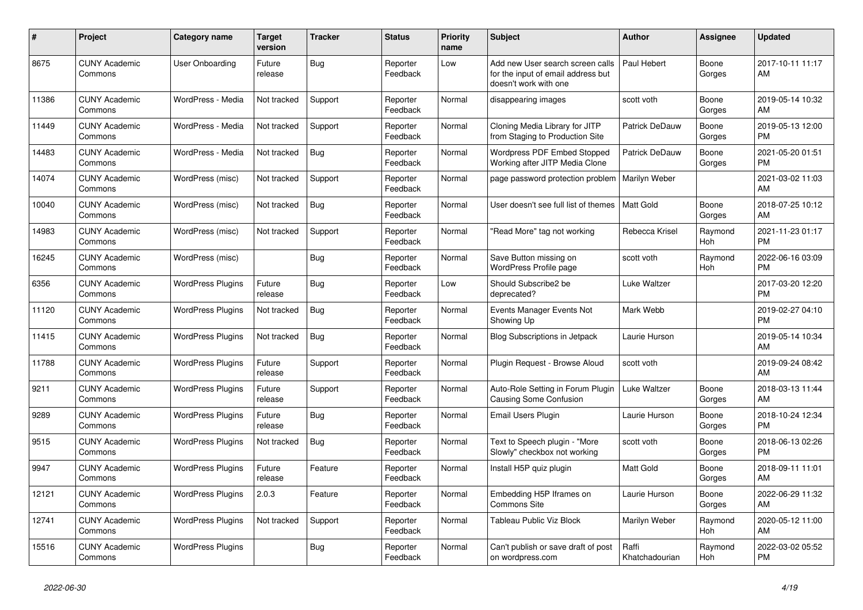| #     | Project                         | <b>Category name</b>     | Target<br>version | <b>Tracker</b> | <b>Status</b>        | <b>Priority</b><br>name | <b>Subject</b>                                                                                  | <b>Author</b>           | Assignee        | <b>Updated</b>                |
|-------|---------------------------------|--------------------------|-------------------|----------------|----------------------|-------------------------|-------------------------------------------------------------------------------------------------|-------------------------|-----------------|-------------------------------|
| 8675  | <b>CUNY Academic</b><br>Commons | User Onboarding          | Future<br>release | Bug            | Reporter<br>Feedback | Low                     | Add new User search screen calls<br>for the input of email address but<br>doesn't work with one | Paul Hebert             | Boone<br>Gorges | 2017-10-11 11:17<br>AM.       |
| 11386 | <b>CUNY Academic</b><br>Commons | WordPress - Media        | Not tracked       | Support        | Reporter<br>Feedback | Normal                  | disappearing images                                                                             | scott voth              | Boone<br>Gorges | 2019-05-14 10:32<br>AM        |
| 11449 | <b>CUNY Academic</b><br>Commons | WordPress - Media        | Not tracked       | Support        | Reporter<br>Feedback | Normal                  | Cloning Media Library for JITP<br>from Staging to Production Site                               | <b>Patrick DeDauw</b>   | Boone<br>Gorges | 2019-05-13 12:00<br><b>PM</b> |
| 14483 | <b>CUNY Academic</b><br>Commons | WordPress - Media        | Not tracked       | Bug            | Reporter<br>Feedback | Normal                  | <b>Wordpress PDF Embed Stopped</b><br>Working after JITP Media Clone                            | Patrick DeDauw          | Boone<br>Gorges | 2021-05-20 01:51<br><b>PM</b> |
| 14074 | <b>CUNY Academic</b><br>Commons | WordPress (misc)         | Not tracked       | Support        | Reporter<br>Feedback | Normal                  | page password protection problem                                                                | Marilyn Weber           |                 | 2021-03-02 11:03<br>AM        |
| 10040 | <b>CUNY Academic</b><br>Commons | WordPress (misc)         | Not tracked       | Bug            | Reporter<br>Feedback | Normal                  | User doesn't see full list of themes                                                            | <b>Matt Gold</b>        | Boone<br>Gorges | 2018-07-25 10:12<br>AM        |
| 14983 | <b>CUNY Academic</b><br>Commons | WordPress (misc)         | Not tracked       | Support        | Reporter<br>Feedback | Normal                  | "Read More" tag not working                                                                     | Rebecca Krisel          | Raymond<br>Hoh  | 2021-11-23 01:17<br><b>PM</b> |
| 16245 | <b>CUNY Academic</b><br>Commons | WordPress (misc)         |                   | Bug            | Reporter<br>Feedback | Normal                  | Save Button missing on<br>WordPress Profile page                                                | scott voth              | Raymond<br>Hoh  | 2022-06-16 03:09<br><b>PM</b> |
| 6356  | <b>CUNY Academic</b><br>Commons | <b>WordPress Plugins</b> | Future<br>release | Bug            | Reporter<br>Feedback | Low                     | Should Subscribe2 be<br>deprecated?                                                             | Luke Waltzer            |                 | 2017-03-20 12:20<br><b>PM</b> |
| 11120 | <b>CUNY Academic</b><br>Commons | <b>WordPress Plugins</b> | Not tracked       | <b>Bug</b>     | Reporter<br>Feedback | Normal                  | Events Manager Events Not<br>Showing Up                                                         | Mark Webb               |                 | 2019-02-27 04:10<br><b>PM</b> |
| 11415 | <b>CUNY Academic</b><br>Commons | <b>WordPress Plugins</b> | Not tracked       | Bug            | Reporter<br>Feedback | Normal                  | Blog Subscriptions in Jetpack                                                                   | Laurie Hurson           |                 | 2019-05-14 10:34<br><b>AM</b> |
| 11788 | <b>CUNY Academic</b><br>Commons | <b>WordPress Plugins</b> | Future<br>release | Support        | Reporter<br>Feedback | Normal                  | Plugin Request - Browse Aloud                                                                   | scott voth              |                 | 2019-09-24 08:42<br>AM        |
| 9211  | <b>CUNY Academic</b><br>Commons | <b>WordPress Plugins</b> | Future<br>release | Support        | Reporter<br>Feedback | Normal                  | Auto-Role Setting in Forum Plugin<br><b>Causing Some Confusion</b>                              | Luke Waltzer            | Boone<br>Gorges | 2018-03-13 11:44<br>AM        |
| 9289  | <b>CUNY Academic</b><br>Commons | <b>WordPress Plugins</b> | Future<br>release | Bug            | Reporter<br>Feedback | Normal                  | Email Users Plugin                                                                              | Laurie Hurson           | Boone<br>Gorges | 2018-10-24 12:34<br><b>PM</b> |
| 9515  | <b>CUNY Academic</b><br>Commons | <b>WordPress Plugins</b> | Not tracked       | Bug            | Reporter<br>Feedback | Normal                  | Text to Speech plugin - "More<br>Slowly" checkbox not working                                   | scott voth              | Boone<br>Gorges | 2018-06-13 02:26<br><b>PM</b> |
| 9947  | <b>CUNY Academic</b><br>Commons | <b>WordPress Plugins</b> | Future<br>release | Feature        | Reporter<br>Feedback | Normal                  | Install H5P quiz plugin                                                                         | Matt Gold               | Boone<br>Gorges | 2018-09-11 11:01<br><b>AM</b> |
| 12121 | <b>CUNY Academic</b><br>Commons | <b>WordPress Plugins</b> | 2.0.3             | Feature        | Reporter<br>Feedback | Normal                  | Embedding H5P Iframes on<br><b>Commons Site</b>                                                 | Laurie Hurson           | Boone<br>Gorges | 2022-06-29 11:32<br><b>AM</b> |
| 12741 | <b>CUNY Academic</b><br>Commons | <b>WordPress Plugins</b> | Not tracked       | Support        | Reporter<br>Feedback | Normal                  | Tableau Public Viz Block                                                                        | Marilyn Weber           | Raymond<br>Hoh  | 2020-05-12 11:00<br>AM        |
| 15516 | <b>CUNY Academic</b><br>Commons | <b>WordPress Plugins</b> |                   | Bug            | Reporter<br>Feedback | Normal                  | Can't publish or save draft of post<br>on wordpress.com                                         | Raffi<br>Khatchadourian | Raymond<br>Hoh  | 2022-03-02 05:52<br>PM        |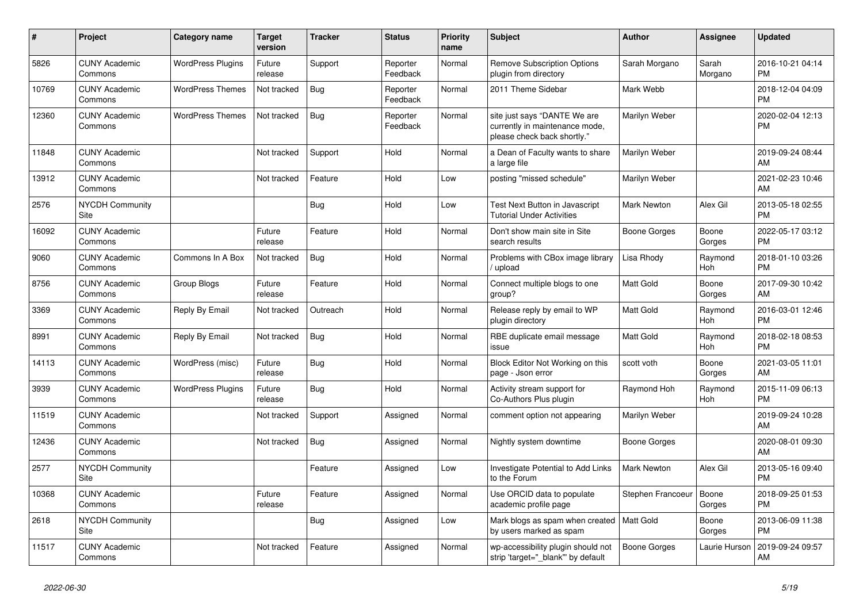| #     | <b>Project</b>                  | Category name            | <b>Target</b><br>version | <b>Tracker</b> | <b>Status</b>        | <b>Priority</b><br>name | <b>Subject</b>                                                                                | <b>Author</b>      | Assignee         | <b>Updated</b>                |
|-------|---------------------------------|--------------------------|--------------------------|----------------|----------------------|-------------------------|-----------------------------------------------------------------------------------------------|--------------------|------------------|-------------------------------|
| 5826  | <b>CUNY Academic</b><br>Commons | <b>WordPress Plugins</b> | Future<br>release        | Support        | Reporter<br>Feedback | Normal                  | <b>Remove Subscription Options</b><br>plugin from directory                                   | Sarah Morgano      | Sarah<br>Morgano | 2016-10-21 04:14<br><b>PM</b> |
| 10769 | <b>CUNY Academic</b><br>Commons | <b>WordPress Themes</b>  | Not tracked              | Bug            | Reporter<br>Feedback | Normal                  | 2011 Theme Sidebar                                                                            | Mark Webb          |                  | 2018-12-04 04:09<br><b>PM</b> |
| 12360 | <b>CUNY Academic</b><br>Commons | <b>WordPress Themes</b>  | Not tracked              | <b>Bug</b>     | Reporter<br>Feedback | Normal                  | site just says "DANTE We are<br>currently in maintenance mode,<br>please check back shortly." | Marilyn Weber      |                  | 2020-02-04 12:13<br><b>PM</b> |
| 11848 | <b>CUNY Academic</b><br>Commons |                          | Not tracked              | Support        | Hold                 | Normal                  | a Dean of Faculty wants to share<br>a large file                                              | Marilyn Weber      |                  | 2019-09-24 08:44<br><b>AM</b> |
| 13912 | <b>CUNY Academic</b><br>Commons |                          | Not tracked              | Feature        | Hold                 | Low                     | posting "missed schedule"                                                                     | Marilyn Weber      |                  | 2021-02-23 10:46<br><b>AM</b> |
| 2576  | <b>NYCDH Community</b><br>Site  |                          |                          | <b>Bug</b>     | Hold                 | Low                     | Test Next Button in Javascript<br><b>Tutorial Under Activities</b>                            | <b>Mark Newton</b> | Alex Gil         | 2013-05-18 02:55<br><b>PM</b> |
| 16092 | <b>CUNY Academic</b><br>Commons |                          | Future<br>release        | Feature        | Hold                 | Normal                  | Don't show main site in Site<br>search results                                                | Boone Gorges       | Boone<br>Gorges  | 2022-05-17 03:12<br><b>PM</b> |
| 9060  | <b>CUNY Academic</b><br>Commons | Commons In A Box         | Not tracked              | Bug            | Hold                 | Normal                  | Problems with CBox image library<br>/ upload                                                  | Lisa Rhody         | Raymond<br>Hoh   | 2018-01-10 03:26<br><b>PM</b> |
| 8756  | <b>CUNY Academic</b><br>Commons | Group Blogs              | Future<br>release        | Feature        | Hold                 | Normal                  | Connect multiple blogs to one<br>group?                                                       | <b>Matt Gold</b>   | Boone<br>Gorges  | 2017-09-30 10:42<br>AM        |
| 3369  | <b>CUNY Academic</b><br>Commons | Reply By Email           | Not tracked              | Outreach       | Hold                 | Normal                  | Release reply by email to WP<br>plugin directory                                              | Matt Gold          | Raymond<br>Hoh   | 2016-03-01 12:46<br><b>PM</b> |
| 8991  | <b>CUNY Academic</b><br>Commons | Reply By Email           | Not tracked              | Bug            | Hold                 | Normal                  | RBE duplicate email message<br>issue                                                          | <b>Matt Gold</b>   | Raymond<br>Hoh   | 2018-02-18 08:53<br><b>PM</b> |
| 14113 | <b>CUNY Academic</b><br>Commons | WordPress (misc)         | Future<br>release        | Bug            | Hold                 | Normal                  | Block Editor Not Working on this<br>page - Json error                                         | scott voth         | Boone<br>Gorges  | 2021-03-05 11:01<br>AM        |
| 3939  | <b>CUNY Academic</b><br>Commons | <b>WordPress Plugins</b> | Future<br>release        | <b>Bug</b>     | Hold                 | Normal                  | Activity stream support for<br>Co-Authors Plus plugin                                         | Raymond Hoh        | Raymond<br>Hoh   | 2015-11-09 06:13<br><b>PM</b> |
| 11519 | <b>CUNY Academic</b><br>Commons |                          | Not tracked              | Support        | Assigned             | Normal                  | comment option not appearing                                                                  | Marilyn Weber      |                  | 2019-09-24 10:28<br>AM        |
| 12436 | <b>CUNY Academic</b><br>Commons |                          | Not tracked              | <b>Bug</b>     | Assigned             | Normal                  | Nightly system downtime                                                                       | Boone Gorges       |                  | 2020-08-01 09:30<br>AM        |
| 2577  | <b>NYCDH Community</b><br>Site  |                          |                          | Feature        | Assigned             | Low                     | Investigate Potential to Add Links<br>to the Forum                                            | Mark Newton        | Alex Gil         | 2013-05-16 09:40<br><b>PM</b> |
| 10368 | <b>CUNY Academic</b><br>Commons |                          | Future<br>release        | Feature        | Assigned             | Normal                  | Use ORCID data to populate<br>academic profile page                                           | Stephen Francoeur  | Boone<br>Gorges  | 2018-09-25 01:53<br><b>PM</b> |
| 2618  | <b>NYCDH Community</b><br>Site  |                          |                          | Bug            | Assigned             | Low                     | Mark blogs as spam when created<br>by users marked as spam                                    | Matt Gold          | Boone<br>Gorges  | 2013-06-09 11:38<br><b>PM</b> |
| 11517 | <b>CUNY Academic</b><br>Commons |                          | Not tracked              | Feature        | Assigned             | Normal                  | wp-accessibility plugin should not<br>strip 'target="_blank"' by default                      | Boone Gorges       | Laurie Hurson    | 2019-09-24 09:57<br>AM        |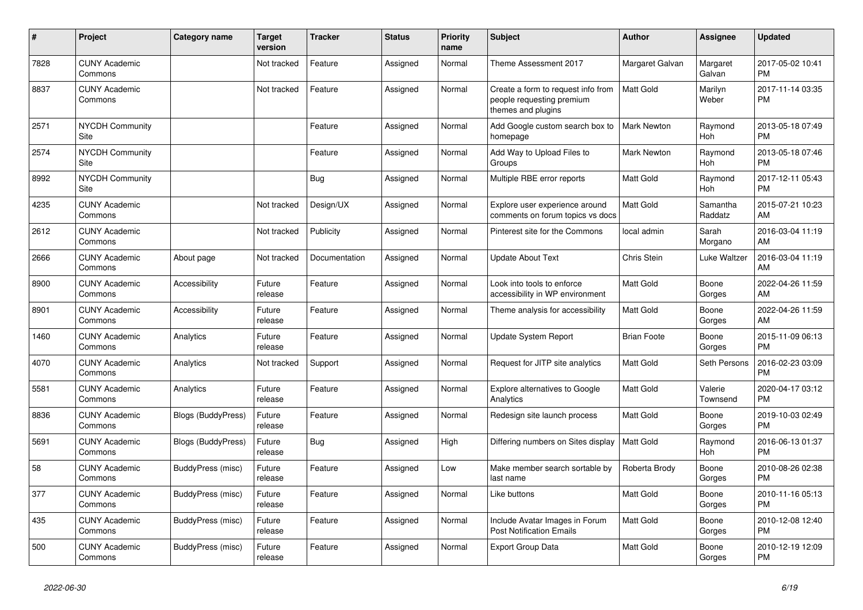| #    | <b>Project</b>                  | Category name             | <b>Target</b><br>version | <b>Tracker</b> | <b>Status</b> | <b>Priority</b><br>name | <b>Subject</b>                                                                        | <b>Author</b>      | Assignee            | <b>Updated</b>                |
|------|---------------------------------|---------------------------|--------------------------|----------------|---------------|-------------------------|---------------------------------------------------------------------------------------|--------------------|---------------------|-------------------------------|
| 7828 | <b>CUNY Academic</b><br>Commons |                           | Not tracked              | Feature        | Assigned      | Normal                  | Theme Assessment 2017                                                                 | Margaret Galvan    | Margaret<br>Galvan  | 2017-05-02 10:41<br><b>PM</b> |
| 8837 | <b>CUNY Academic</b><br>Commons |                           | Not tracked              | Feature        | Assigned      | Normal                  | Create a form to request info from<br>people requesting premium<br>themes and plugins | <b>Matt Gold</b>   | Marilyn<br>Weber    | 2017-11-14 03:35<br><b>PM</b> |
| 2571 | <b>NYCDH Community</b><br>Site  |                           |                          | Feature        | Assigned      | Normal                  | Add Google custom search box to<br>homepage                                           | <b>Mark Newton</b> | Raymond<br>Hoh      | 2013-05-18 07:49<br><b>PM</b> |
| 2574 | <b>NYCDH Community</b><br>Site  |                           |                          | Feature        | Assigned      | Normal                  | Add Way to Upload Files to<br>Groups                                                  | <b>Mark Newton</b> | Raymond<br>Hoh      | 2013-05-18 07:46<br><b>PM</b> |
| 8992 | <b>NYCDH Community</b><br>Site  |                           |                          | Bug            | Assigned      | Normal                  | Multiple RBE error reports                                                            | <b>Matt Gold</b>   | Raymond<br>Hoh      | 2017-12-11 05:43<br><b>PM</b> |
| 4235 | <b>CUNY Academic</b><br>Commons |                           | Not tracked              | Design/UX      | Assigned      | Normal                  | Explore user experience around<br>comments on forum topics vs docs                    | <b>Matt Gold</b>   | Samantha<br>Raddatz | 2015-07-21 10:23<br>AM        |
| 2612 | <b>CUNY Academic</b><br>Commons |                           | Not tracked              | Publicity      | Assigned      | Normal                  | Pinterest site for the Commons                                                        | local admin        | Sarah<br>Morgano    | 2016-03-04 11:19<br>AM        |
| 2666 | <b>CUNY Academic</b><br>Commons | About page                | Not tracked              | Documentation  | Assigned      | Normal                  | <b>Update About Text</b>                                                              | Chris Stein        | Luke Waltzer        | 2016-03-04 11:19<br>AM        |
| 8900 | <b>CUNY Academic</b><br>Commons | Accessibility             | Future<br>release        | Feature        | Assigned      | Normal                  | Look into tools to enforce<br>accessibility in WP environment                         | <b>Matt Gold</b>   | Boone<br>Gorges     | 2022-04-26 11:59<br>AM        |
| 8901 | <b>CUNY Academic</b><br>Commons | Accessibility             | Future<br>release        | Feature        | Assigned      | Normal                  | Theme analysis for accessibility                                                      | <b>Matt Gold</b>   | Boone<br>Gorges     | 2022-04-26 11:59<br>AM        |
| 1460 | <b>CUNY Academic</b><br>Commons | Analytics                 | Future<br>release        | Feature        | Assigned      | Normal                  | Update System Report                                                                  | <b>Brian Foote</b> | Boone<br>Gorges     | 2015-11-09 06:13<br><b>PM</b> |
| 4070 | <b>CUNY Academic</b><br>Commons | Analytics                 | Not tracked              | Support        | Assigned      | Normal                  | Request for JITP site analytics                                                       | <b>Matt Gold</b>   | Seth Persons        | 2016-02-23 03:09<br><b>PM</b> |
| 5581 | <b>CUNY Academic</b><br>Commons | Analytics                 | Future<br>release        | Feature        | Assigned      | Normal                  | Explore alternatives to Google<br>Analytics                                           | <b>Matt Gold</b>   | Valerie<br>Townsend | 2020-04-17 03:12<br><b>PM</b> |
| 8836 | <b>CUNY Academic</b><br>Commons | <b>Blogs (BuddyPress)</b> | Future<br>release        | Feature        | Assigned      | Normal                  | Redesign site launch process                                                          | <b>Matt Gold</b>   | Boone<br>Gorges     | 2019-10-03 02:49<br><b>PM</b> |
| 5691 | <b>CUNY Academic</b><br>Commons | <b>Blogs (BuddyPress)</b> | Future<br>release        | Bug            | Assigned      | High                    | Differing numbers on Sites display                                                    | Matt Gold          | Raymond<br>Hoh      | 2016-06-13 01:37<br><b>PM</b> |
| 58   | <b>CUNY Academic</b><br>Commons | BuddyPress (misc)         | Future<br>release        | Feature        | Assigned      | Low                     | Make member search sortable by<br>last name                                           | Roberta Brody      | Boone<br>Gorges     | 2010-08-26 02:38<br><b>PM</b> |
| 377  | <b>CUNY Academic</b><br>Commons | BuddyPress (misc)         | Future<br>release        | Feature        | Assigned      | Normal                  | Like buttons                                                                          | <b>Matt Gold</b>   | Boone<br>Gorges     | 2010-11-16 05:13<br><b>PM</b> |
| 435  | <b>CUNY Academic</b><br>Commons | BuddyPress (misc)         | Future<br>release        | Feature        | Assigned      | Normal                  | Include Avatar Images in Forum<br><b>Post Notification Emails</b>                     | <b>Matt Gold</b>   | Boone<br>Gorges     | 2010-12-08 12:40<br><b>PM</b> |
| 500  | <b>CUNY Academic</b><br>Commons | BuddyPress (misc)         | Future<br>release        | Feature        | Assigned      | Normal                  | Export Group Data                                                                     | <b>Matt Gold</b>   | Boone<br>Gorges     | 2010-12-19 12:09<br><b>PM</b> |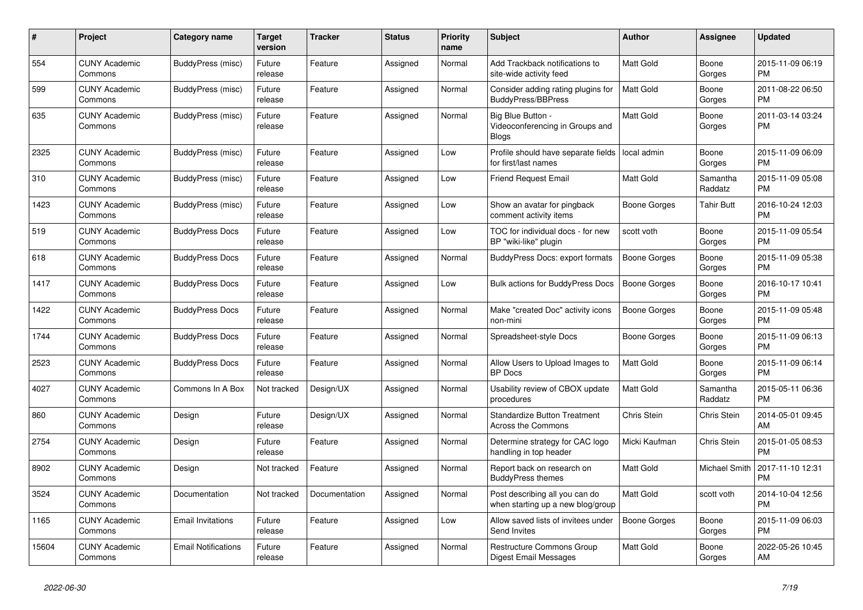| $\#$  | <b>Project</b>                  | <b>Category name</b>       | <b>Target</b><br>version | <b>Tracker</b> | <b>Status</b> | <b>Priority</b><br>name | <b>Subject</b>                                                      | <b>Author</b>       | Assignee            | <b>Updated</b>                |
|-------|---------------------------------|----------------------------|--------------------------|----------------|---------------|-------------------------|---------------------------------------------------------------------|---------------------|---------------------|-------------------------------|
| 554   | <b>CUNY Academic</b><br>Commons | <b>BuddyPress (misc)</b>   | Future<br>release        | Feature        | Assigned      | Normal                  | Add Trackback notifications to<br>site-wide activity feed           | <b>Matt Gold</b>    | Boone<br>Gorges     | 2015-11-09 06:19<br><b>PM</b> |
| 599   | <b>CUNY Academic</b><br>Commons | BuddyPress (misc)          | Future<br>release        | Feature        | Assigned      | Normal                  | Consider adding rating plugins for<br><b>BuddyPress/BBPress</b>     | <b>Matt Gold</b>    | Boone<br>Gorges     | 2011-08-22 06:50<br><b>PM</b> |
| 635   | <b>CUNY Academic</b><br>Commons | BuddyPress (misc)          | Future<br>release        | Feature        | Assigned      | Normal                  | Big Blue Button -<br>Videoconferencing in Groups and<br>Blogs       | Matt Gold           | Boone<br>Gorges     | 2011-03-14 03:24<br><b>PM</b> |
| 2325  | <b>CUNY Academic</b><br>Commons | BuddyPress (misc)          | Future<br>release        | Feature        | Assigned      | Low                     | Profile should have separate fields<br>for first/last names         | local admin         | Boone<br>Gorges     | 2015-11-09 06:09<br><b>PM</b> |
| 310   | <b>CUNY Academic</b><br>Commons | BuddyPress (misc)          | Future<br>release        | Feature        | Assigned      | Low                     | <b>Friend Request Email</b>                                         | Matt Gold           | Samantha<br>Raddatz | 2015-11-09 05:08<br><b>PM</b> |
| 1423  | <b>CUNY Academic</b><br>Commons | BuddyPress (misc)          | Future<br>release        | Feature        | Assigned      | Low                     | Show an avatar for pingback<br>comment activity items               | Boone Gorges        | Tahir Butt          | 2016-10-24 12:03<br><b>PM</b> |
| 519   | <b>CUNY Academic</b><br>Commons | <b>BuddyPress Docs</b>     | Future<br>release        | Feature        | Assigned      | Low                     | TOC for individual docs - for new<br>BP "wiki-like" plugin          | scott voth          | Boone<br>Gorges     | 2015-11-09 05:54<br><b>PM</b> |
| 618   | <b>CUNY Academic</b><br>Commons | <b>BuddyPress Docs</b>     | Future<br>release        | Feature        | Assigned      | Normal                  | <b>BuddyPress Docs: export formats</b>                              | <b>Boone Gorges</b> | Boone<br>Gorges     | 2015-11-09 05:38<br><b>PM</b> |
| 1417  | <b>CUNY Academic</b><br>Commons | <b>BuddyPress Docs</b>     | Future<br>release        | Feature        | Assigned      | Low                     | <b>Bulk actions for BuddyPress Docs</b>                             | <b>Boone Gorges</b> | Boone<br>Gorges     | 2016-10-17 10:41<br><b>PM</b> |
| 1422  | <b>CUNY Academic</b><br>Commons | <b>BuddyPress Docs</b>     | Future<br>release        | Feature        | Assigned      | Normal                  | Make "created Doc" activity icons<br>non-mini                       | <b>Boone Gorges</b> | Boone<br>Gorges     | 2015-11-09 05:48<br><b>PM</b> |
| 1744  | <b>CUNY Academic</b><br>Commons | <b>BuddyPress Docs</b>     | Future<br>release        | Feature        | Assigned      | Normal                  | Spreadsheet-style Docs                                              | Boone Gorges        | Boone<br>Gorges     | 2015-11-09 06:13<br><b>PM</b> |
| 2523  | <b>CUNY Academic</b><br>Commons | <b>BuddyPress Docs</b>     | Future<br>release        | Feature        | Assigned      | Normal                  | Allow Users to Upload Images to<br><b>BP</b> Docs                   | <b>Matt Gold</b>    | Boone<br>Gorges     | 2015-11-09 06:14<br><b>PM</b> |
| 4027  | <b>CUNY Academic</b><br>Commons | Commons In A Box           | Not tracked              | Design/UX      | Assigned      | Normal                  | Usability review of CBOX update<br>procedures                       | Matt Gold           | Samantha<br>Raddatz | 2015-05-11 06:36<br><b>PM</b> |
| 860   | <b>CUNY Academic</b><br>Commons | Design                     | Future<br>release        | Design/UX      | Assigned      | Normal                  | <b>Standardize Button Treatment</b><br><b>Across the Commons</b>    | Chris Stein         | Chris Stein         | 2014-05-01 09:45<br>AM        |
| 2754  | <b>CUNY Academic</b><br>Commons | Design                     | Future<br>release        | Feature        | Assigned      | Normal                  | Determine strategy for CAC logo<br>handling in top header           | Micki Kaufman       | Chris Stein         | 2015-01-05 08:53<br><b>PM</b> |
| 8902  | <b>CUNY Academic</b><br>Commons | Design                     | Not tracked              | Feature        | Assigned      | Normal                  | Report back on research on<br><b>BuddyPress themes</b>              | <b>Matt Gold</b>    | Michael Smith       | 2017-11-10 12:31<br><b>PM</b> |
| 3524  | <b>CUNY Academic</b><br>Commons | Documentation              | Not tracked              | Documentation  | Assigned      | Normal                  | Post describing all you can do<br>when starting up a new blog/group | Matt Gold           | scott voth          | 2014-10-04 12:56<br><b>PM</b> |
| 1165  | <b>CUNY Academic</b><br>Commons | <b>Email Invitations</b>   | Future<br>release        | Feature        | Assigned      | Low                     | Allow saved lists of invitees under<br>Send Invites                 | Boone Gorges        | Boone<br>Gorges     | 2015-11-09 06:03<br><b>PM</b> |
| 15604 | <b>CUNY Academic</b><br>Commons | <b>Email Notifications</b> | Future<br>release        | Feature        | Assigned      | Normal                  | <b>Restructure Commons Group</b><br>Digest Email Messages           | <b>Matt Gold</b>    | Boone<br>Gorges     | 2022-05-26 10:45<br>AM        |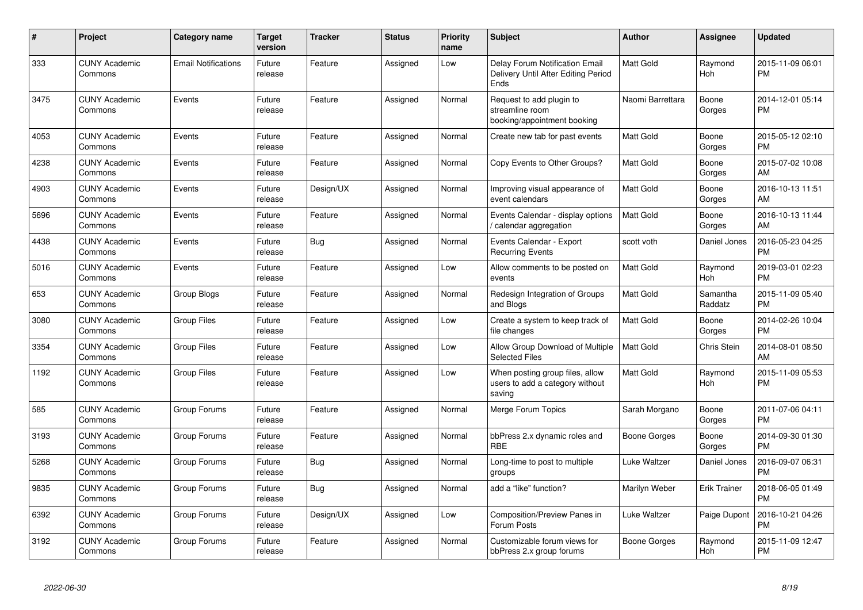| #    | Project                         | Category name              | <b>Target</b><br>version | <b>Tracker</b> | <b>Status</b> | Priority<br>name | <b>Subject</b>                                                                | <b>Author</b>    | <b>Assignee</b>     | <b>Updated</b>                |
|------|---------------------------------|----------------------------|--------------------------|----------------|---------------|------------------|-------------------------------------------------------------------------------|------------------|---------------------|-------------------------------|
| 333  | <b>CUNY Academic</b><br>Commons | <b>Email Notifications</b> | Future<br>release        | Feature        | Assigned      | Low              | Delay Forum Notification Email<br>Delivery Until After Editing Period<br>Ends | <b>Matt Gold</b> | Raymond<br>Hoh      | 2015-11-09 06:01<br><b>PM</b> |
| 3475 | <b>CUNY Academic</b><br>Commons | Events                     | Future<br>release        | Feature        | Assigned      | Normal           | Request to add plugin to<br>streamline room<br>booking/appointment booking    | Naomi Barrettara | Boone<br>Gorges     | 2014-12-01 05:14<br><b>PM</b> |
| 4053 | <b>CUNY Academic</b><br>Commons | Events                     | Future<br>release        | Feature        | Assigned      | Normal           | Create new tab for past events                                                | <b>Matt Gold</b> | Boone<br>Gorges     | 2015-05-12 02:10<br><b>PM</b> |
| 4238 | <b>CUNY Academic</b><br>Commons | Events                     | Future<br>release        | Feature        | Assigned      | Normal           | Copy Events to Other Groups?                                                  | <b>Matt Gold</b> | Boone<br>Gorges     | 2015-07-02 10:08<br>AM        |
| 4903 | <b>CUNY Academic</b><br>Commons | Events                     | Future<br>release        | Design/UX      | Assigned      | Normal           | Improving visual appearance of<br>event calendars                             | <b>Matt Gold</b> | Boone<br>Gorges     | 2016-10-13 11:51<br>AM        |
| 5696 | <b>CUNY Academic</b><br>Commons | Events                     | Future<br>release        | Feature        | Assigned      | Normal           | Events Calendar - display options<br>/ calendar aggregation                   | Matt Gold        | Boone<br>Gorges     | 2016-10-13 11:44<br>AM        |
| 4438 | <b>CUNY Academic</b><br>Commons | Events                     | Future<br>release        | Bug            | Assigned      | Normal           | Events Calendar - Export<br><b>Recurring Events</b>                           | scott voth       | Daniel Jones        | 2016-05-23 04:25<br><b>PM</b> |
| 5016 | <b>CUNY Academic</b><br>Commons | Events                     | Future<br>release        | Feature        | Assigned      | Low              | Allow comments to be posted on<br>events                                      | <b>Matt Gold</b> | Raymond<br>Hoh      | 2019-03-01 02:23<br><b>PM</b> |
| 653  | <b>CUNY Academic</b><br>Commons | Group Blogs                | Future<br>release        | Feature        | Assigned      | Normal           | Redesign Integration of Groups<br>and Blogs                                   | <b>Matt Gold</b> | Samantha<br>Raddatz | 2015-11-09 05:40<br><b>PM</b> |
| 3080 | <b>CUNY Academic</b><br>Commons | Group Files                | Future<br>release        | Feature        | Assigned      | Low              | Create a system to keep track of<br>file changes                              | <b>Matt Gold</b> | Boone<br>Gorges     | 2014-02-26 10:04<br><b>PM</b> |
| 3354 | <b>CUNY Academic</b><br>Commons | <b>Group Files</b>         | Future<br>release        | Feature        | Assigned      | Low              | Allow Group Download of Multiple<br><b>Selected Files</b>                     | <b>Matt Gold</b> | Chris Stein         | 2014-08-01 08:50<br>AM        |
| 1192 | <b>CUNY Academic</b><br>Commons | <b>Group Files</b>         | Future<br>release        | Feature        | Assigned      | Low              | When posting group files, allow<br>users to add a category without<br>saving  | <b>Matt Gold</b> | Raymond<br>Hoh      | 2015-11-09 05:53<br><b>PM</b> |
| 585  | <b>CUNY Academic</b><br>Commons | Group Forums               | Future<br>release        | Feature        | Assigned      | Normal           | Merge Forum Topics                                                            | Sarah Morgano    | Boone<br>Gorges     | 2011-07-06 04:11<br><b>PM</b> |
| 3193 | <b>CUNY Academic</b><br>Commons | Group Forums               | Future<br>release        | Feature        | Assigned      | Normal           | bbPress 2.x dynamic roles and<br><b>RBF</b>                                   | Boone Gorges     | Boone<br>Gorges     | 2014-09-30 01:30<br><b>PM</b> |
| 5268 | <b>CUNY Academic</b><br>Commons | Group Forums               | Future<br>release        | Bug            | Assigned      | Normal           | Long-time to post to multiple<br>groups                                       | Luke Waltzer     | Daniel Jones        | 2016-09-07 06:31<br><b>PM</b> |
| 9835 | <b>CUNY Academic</b><br>Commons | Group Forums               | Future<br>release        | <b>Bug</b>     | Assigned      | Normal           | add a "like" function?                                                        | Marilyn Weber    | <b>Erik Trainer</b> | 2018-06-05 01:49<br><b>PM</b> |
| 6392 | <b>CUNY Academic</b><br>Commons | Group Forums               | Future<br>release        | Design/UX      | Assigned      | Low              | Composition/Preview Panes in<br>Forum Posts                                   | Luke Waltzer     | Paige Dupont        | 2016-10-21 04:26<br><b>PM</b> |
| 3192 | <b>CUNY Academic</b><br>Commons | Group Forums               | Future<br>release        | Feature        | Assigned      | Normal           | Customizable forum views for<br>bbPress 2.x group forums                      | Boone Gorges     | Raymond<br>Hoh      | 2015-11-09 12:47<br>PM        |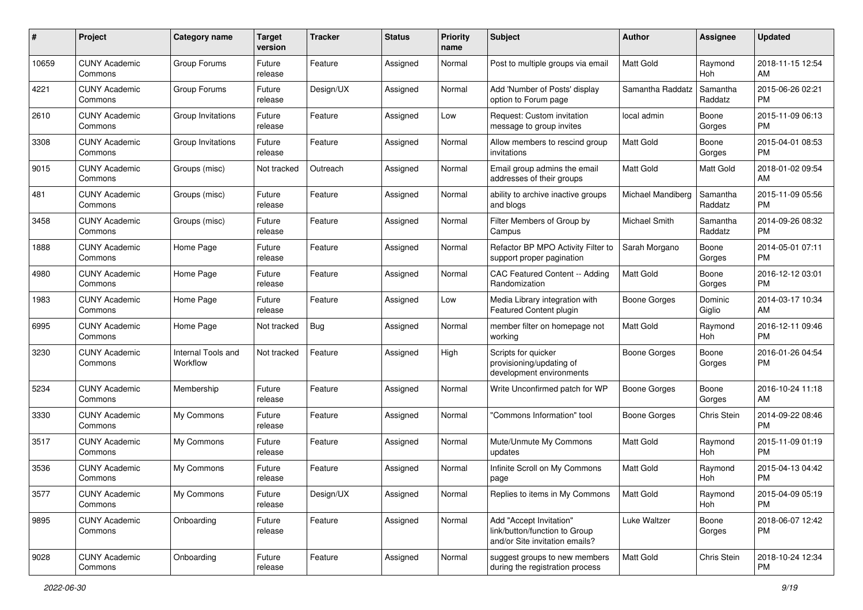| #     | Project                         | <b>Category name</b>           | <b>Target</b><br>version | <b>Tracker</b> | <b>Status</b> | Priority<br>name | <b>Subject</b>                                                                             | Author              | Assignee            | <b>Updated</b>                |
|-------|---------------------------------|--------------------------------|--------------------------|----------------|---------------|------------------|--------------------------------------------------------------------------------------------|---------------------|---------------------|-------------------------------|
| 10659 | <b>CUNY Academic</b><br>Commons | Group Forums                   | Future<br>release        | Feature        | Assigned      | Normal           | Post to multiple groups via email                                                          | <b>Matt Gold</b>    | Raymond<br>Hoh      | 2018-11-15 12:54<br>AM        |
| 4221  | <b>CUNY Academic</b><br>Commons | Group Forums                   | Future<br>release        | Design/UX      | Assigned      | Normal           | Add 'Number of Posts' display<br>option to Forum page                                      | Samantha Raddatz    | Samantha<br>Raddatz | 2015-06-26 02:21<br><b>PM</b> |
| 2610  | <b>CUNY Academic</b><br>Commons | Group Invitations              | Future<br>release        | Feature        | Assigned      | Low              | Request: Custom invitation<br>message to group invites                                     | local admin         | Boone<br>Gorges     | 2015-11-09 06:13<br><b>PM</b> |
| 3308  | <b>CUNY Academic</b><br>Commons | Group Invitations              | Future<br>release        | Feature        | Assigned      | Normal           | Allow members to rescind group<br>invitations                                              | <b>Matt Gold</b>    | Boone<br>Gorges     | 2015-04-01 08:53<br><b>PM</b> |
| 9015  | <b>CUNY Academic</b><br>Commons | Groups (misc)                  | Not tracked              | Outreach       | Assigned      | Normal           | Email group admins the email<br>addresses of their groups                                  | <b>Matt Gold</b>    | Matt Gold           | 2018-01-02 09:54<br>AM        |
| 481   | <b>CUNY Academic</b><br>Commons | Groups (misc)                  | Future<br>release        | Feature        | Assigned      | Normal           | ability to archive inactive groups<br>and blogs                                            | Michael Mandiberg   | Samantha<br>Raddatz | 2015-11-09 05:56<br><b>PM</b> |
| 3458  | <b>CUNY Academic</b><br>Commons | Groups (misc)                  | Future<br>release        | Feature        | Assigned      | Normal           | Filter Members of Group by<br>Campus                                                       | Michael Smith       | Samantha<br>Raddatz | 2014-09-26 08:32<br><b>PM</b> |
| 1888  | <b>CUNY Academic</b><br>Commons | Home Page                      | Future<br>release        | Feature        | Assigned      | Normal           | Refactor BP MPO Activity Filter to<br>support proper pagination                            | Sarah Morgano       | Boone<br>Gorges     | 2014-05-01 07:11<br><b>PM</b> |
| 4980  | <b>CUNY Academic</b><br>Commons | Home Page                      | Future<br>release        | Feature        | Assigned      | Normal           | CAC Featured Content -- Adding<br>Randomization                                            | Matt Gold           | Boone<br>Gorges     | 2016-12-12 03:01<br><b>PM</b> |
| 1983  | <b>CUNY Academic</b><br>Commons | Home Page                      | Future<br>release        | Feature        | Assigned      | Low              | Media Library integration with<br>Featured Content plugin                                  | <b>Boone Gorges</b> | Dominic<br>Giglio   | 2014-03-17 10:34<br>AM        |
| 6995  | <b>CUNY Academic</b><br>Commons | Home Page                      | Not tracked              | Bug            | Assigned      | Normal           | member filter on homepage not<br>working                                                   | Matt Gold           | Raymond<br>Hoh      | 2016-12-11 09:46<br><b>PM</b> |
| 3230  | <b>CUNY Academic</b><br>Commons | Internal Tools and<br>Workflow | Not tracked              | Feature        | Assigned      | High             | Scripts for quicker<br>provisioning/updating of<br>development environments                | Boone Gorges        | Boone<br>Gorges     | 2016-01-26 04:54<br><b>PM</b> |
| 5234  | <b>CUNY Academic</b><br>Commons | Membership                     | Future<br>release        | Feature        | Assigned      | Normal           | Write Unconfirmed patch for WP                                                             | <b>Boone Gorges</b> | Boone<br>Gorges     | 2016-10-24 11:18<br>AM        |
| 3330  | <b>CUNY Academic</b><br>Commons | My Commons                     | Future<br>release        | Feature        | Assigned      | Normal           | "Commons Information" tool                                                                 | <b>Boone Gorges</b> | Chris Stein         | 2014-09-22 08:46<br><b>PM</b> |
| 3517  | <b>CUNY Academic</b><br>Commons | My Commons                     | Future<br>release        | Feature        | Assigned      | Normal           | Mute/Unmute My Commons<br>updates                                                          | Matt Gold           | Raymond<br>Hoh      | 2015-11-09 01:19<br><b>PM</b> |
| 3536  | <b>CUNY Academic</b><br>Commons | My Commons                     | Future<br>release        | Feature        | Assigned      | Normal           | Infinite Scroll on My Commons<br>page                                                      | <b>Matt Gold</b>    | Raymond<br>Hoh      | 2015-04-13 04:42<br><b>PM</b> |
| 3577  | <b>CUNY Academic</b><br>Commons | My Commons                     | Future<br>release        | Design/UX      | Assigned      | Normal           | Replies to items in My Commons                                                             | Matt Gold           | Raymond<br>Hoh      | 2015-04-09 05:19<br><b>PM</b> |
| 9895  | <b>CUNY Academic</b><br>Commons | Onboarding                     | Future<br>release        | Feature        | Assigned      | Normal           | Add "Accept Invitation"<br>link/button/function to Group<br>and/or Site invitation emails? | Luke Waltzer        | Boone<br>Gorges     | 2018-06-07 12:42<br>PM        |
| 9028  | <b>CUNY Academic</b><br>Commons | Onboarding                     | Future<br>release        | Feature        | Assigned      | Normal           | suggest groups to new members<br>during the registration process                           | Matt Gold           | Chris Stein         | 2018-10-24 12:34<br><b>PM</b> |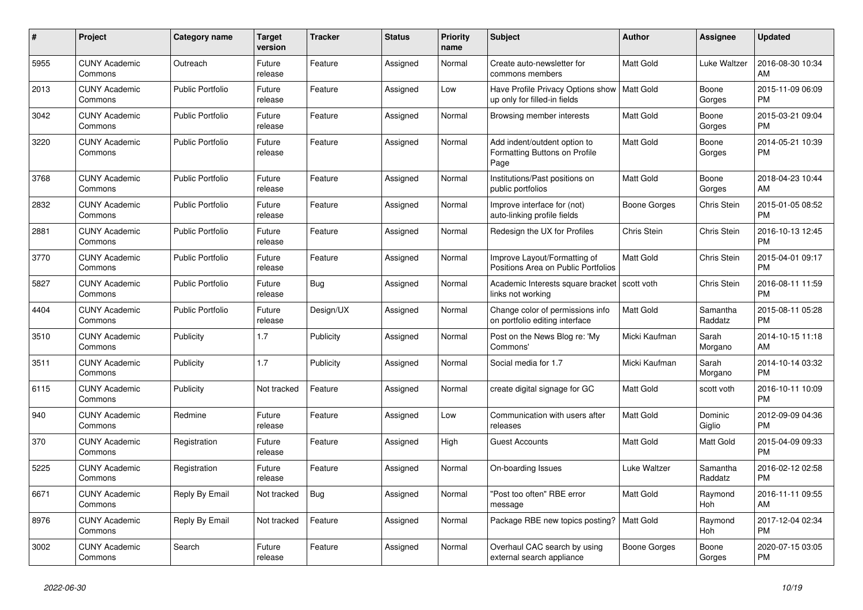| $\#$ | Project                         | <b>Category name</b>    | <b>Target</b><br>version | <b>Tracker</b> | <b>Status</b> | Priority<br>name | <b>Subject</b>                                                        | <b>Author</b>    | Assignee            | <b>Updated</b>                |
|------|---------------------------------|-------------------------|--------------------------|----------------|---------------|------------------|-----------------------------------------------------------------------|------------------|---------------------|-------------------------------|
| 5955 | <b>CUNY Academic</b><br>Commons | Outreach                | Future<br>release        | Feature        | Assigned      | Normal           | Create auto-newsletter for<br>commons members                         | <b>Matt Gold</b> | Luke Waltzer        | 2016-08-30 10:34<br>AM        |
| 2013 | <b>CUNY Academic</b><br>Commons | <b>Public Portfolio</b> | Future<br>release        | Feature        | Assigned      | Low              | Have Profile Privacy Options show<br>up only for filled-in fields     | Matt Gold        | Boone<br>Gorges     | 2015-11-09 06:09<br><b>PM</b> |
| 3042 | <b>CUNY Academic</b><br>Commons | <b>Public Portfolio</b> | Future<br>release        | Feature        | Assigned      | Normal           | Browsing member interests                                             | Matt Gold        | Boone<br>Gorges     | 2015-03-21 09:04<br><b>PM</b> |
| 3220 | <b>CUNY Academic</b><br>Commons | <b>Public Portfolio</b> | Future<br>release        | Feature        | Assigned      | Normal           | Add indent/outdent option to<br>Formatting Buttons on Profile<br>Page | <b>Matt Gold</b> | Boone<br>Gorges     | 2014-05-21 10:39<br><b>PM</b> |
| 3768 | <b>CUNY Academic</b><br>Commons | Public Portfolio        | Future<br>release        | Feature        | Assigned      | Normal           | Institutions/Past positions on<br>public portfolios                   | Matt Gold        | Boone<br>Gorges     | 2018-04-23 10:44<br>AM        |
| 2832 | <b>CUNY Academic</b><br>Commons | <b>Public Portfolio</b> | Future<br>release        | Feature        | Assigned      | Normal           | Improve interface for (not)<br>auto-linking profile fields            | Boone Gorges     | Chris Stein         | 2015-01-05 08:52<br><b>PM</b> |
| 2881 | <b>CUNY Academic</b><br>Commons | Public Portfolio        | Future<br>release        | Feature        | Assigned      | Normal           | Redesign the UX for Profiles                                          | Chris Stein      | Chris Stein         | 2016-10-13 12:45<br><b>PM</b> |
| 3770 | <b>CUNY Academic</b><br>Commons | Public Portfolio        | Future<br>release        | Feature        | Assigned      | Normal           | Improve Layout/Formatting of<br>Positions Area on Public Portfolios   | Matt Gold        | Chris Stein         | 2015-04-01 09:17<br><b>PM</b> |
| 5827 | <b>CUNY Academic</b><br>Commons | <b>Public Portfolio</b> | Future<br>release        | Bug            | Assigned      | Normal           | Academic Interests square bracket<br>links not working                | scott voth       | Chris Stein         | 2016-08-11 11:59<br><b>PM</b> |
| 4404 | <b>CUNY Academic</b><br>Commons | <b>Public Portfolio</b> | Future<br>release        | Design/UX      | Assigned      | Normal           | Change color of permissions info<br>on portfolio editing interface    | Matt Gold        | Samantha<br>Raddatz | 2015-08-11 05:28<br><b>PM</b> |
| 3510 | <b>CUNY Academic</b><br>Commons | Publicity               | 1.7                      | Publicity      | Assigned      | Normal           | Post on the News Blog re: 'My<br>Commons'                             | Micki Kaufman    | Sarah<br>Morgano    | 2014-10-15 11:18<br>AM        |
| 3511 | <b>CUNY Academic</b><br>Commons | Publicity               | 1.7                      | Publicity      | Assigned      | Normal           | Social media for 1.7                                                  | Micki Kaufman    | Sarah<br>Morgano    | 2014-10-14 03:32<br><b>PM</b> |
| 6115 | <b>CUNY Academic</b><br>Commons | Publicity               | Not tracked              | Feature        | Assigned      | Normal           | create digital signage for GC                                         | Matt Gold        | scott voth          | 2016-10-11 10:09<br><b>PM</b> |
| 940  | <b>CUNY Academic</b><br>Commons | Redmine                 | Future<br>release        | Feature        | Assigned      | Low              | Communication with users after<br>releases                            | Matt Gold        | Dominic<br>Giglio   | 2012-09-09 04:36<br><b>PM</b> |
| 370  | <b>CUNY Academic</b><br>Commons | Registration            | Future<br>release        | Feature        | Assigned      | High             | <b>Guest Accounts</b>                                                 | Matt Gold        | Matt Gold           | 2015-04-09 09:33<br><b>PM</b> |
| 5225 | <b>CUNY Academic</b><br>Commons | Registration            | Future<br>release        | Feature        | Assigned      | Normal           | On-boarding Issues                                                    | Luke Waltzer     | Samantha<br>Raddatz | 2016-02-12 02:58<br><b>PM</b> |
| 6671 | <b>CUNY Academic</b><br>Commons | Reply By Email          | Not tracked              | Bug            | Assigned      | Normal           | "Post too often" RBE error<br>message                                 | Matt Gold        | Raymond<br>Hoh      | 2016-11-11 09:55<br>AM        |
| 8976 | <b>CUNY Academic</b><br>Commons | Reply By Email          | Not tracked              | Feature        | Assigned      | Normal           | Package RBE new topics posting?                                       | Matt Gold        | Raymond<br>Hoh      | 2017-12-04 02:34<br><b>PM</b> |
| 3002 | <b>CUNY Academic</b><br>Commons | Search                  | Future<br>release        | Feature        | Assigned      | Normal           | Overhaul CAC search by using<br>external search appliance             | Boone Gorges     | Boone<br>Gorges     | 2020-07-15 03:05<br><b>PM</b> |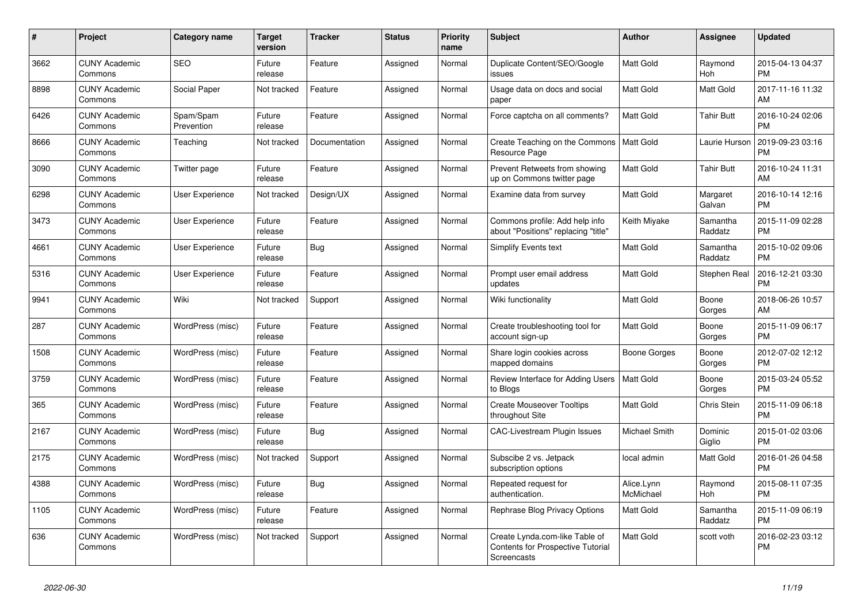| #    | <b>Project</b>                  | Category name           | <b>Target</b><br>version | <b>Tracker</b> | <b>Status</b> | Priority<br>name | <b>Subject</b>                                                                            | <b>Author</b>           | Assignee            | <b>Updated</b>                |
|------|---------------------------------|-------------------------|--------------------------|----------------|---------------|------------------|-------------------------------------------------------------------------------------------|-------------------------|---------------------|-------------------------------|
| 3662 | <b>CUNY Academic</b><br>Commons | <b>SEO</b>              | Future<br>release        | Feature        | Assigned      | Normal           | Duplicate Content/SEO/Google<br>issues                                                    | <b>Matt Gold</b>        | Raymond<br>Hoh      | 2015-04-13 04:37<br><b>PM</b> |
| 8898 | <b>CUNY Academic</b><br>Commons | Social Paper            | Not tracked              | Feature        | Assigned      | Normal           | Usage data on docs and social<br>paper                                                    | Matt Gold               | Matt Gold           | 2017-11-16 11:32<br>AM        |
| 6426 | <b>CUNY Academic</b><br>Commons | Spam/Spam<br>Prevention | Future<br>release        | Feature        | Assigned      | Normal           | Force captcha on all comments?                                                            | Matt Gold               | <b>Tahir Butt</b>   | 2016-10-24 02:06<br><b>PM</b> |
| 8666 | <b>CUNY Academic</b><br>Commons | Teaching                | Not tracked              | Documentation  | Assigned      | Normal           | Create Teaching on the Commons<br>Resource Page                                           | Matt Gold               | Laurie Hurson       | 2019-09-23 03:16<br><b>PM</b> |
| 3090 | <b>CUNY Academic</b><br>Commons | Twitter page            | Future<br>release        | Feature        | Assigned      | Normal           | Prevent Retweets from showing<br>up on Commons twitter page                               | Matt Gold               | <b>Tahir Butt</b>   | 2016-10-24 11:31<br>AM        |
| 6298 | <b>CUNY Academic</b><br>Commons | User Experience         | Not tracked              | Design/UX      | Assigned      | Normal           | Examine data from survey                                                                  | Matt Gold               | Margaret<br>Galvan  | 2016-10-14 12:16<br><b>PM</b> |
| 3473 | <b>CUNY Academic</b><br>Commons | User Experience         | Future<br>release        | Feature        | Assigned      | Normal           | Commons profile: Add help info<br>about "Positions" replacing "title"                     | Keith Miyake            | Samantha<br>Raddatz | 2015-11-09 02:28<br><b>PM</b> |
| 4661 | <b>CUNY Academic</b><br>Commons | User Experience         | Future<br>release        | Bug            | Assigned      | Normal           | Simplify Events text                                                                      | <b>Matt Gold</b>        | Samantha<br>Raddatz | 2015-10-02 09:06<br><b>PM</b> |
| 5316 | <b>CUNY Academic</b><br>Commons | <b>User Experience</b>  | Future<br>release        | Feature        | Assigned      | Normal           | Prompt user email address<br>updates                                                      | Matt Gold               | Stephen Real        | 2016-12-21 03:30<br><b>PM</b> |
| 9941 | <b>CUNY Academic</b><br>Commons | Wiki                    | Not tracked              | Support        | Assigned      | Normal           | Wiki functionality                                                                        | Matt Gold               | Boone<br>Gorges     | 2018-06-26 10:57<br>AM        |
| 287  | <b>CUNY Academic</b><br>Commons | WordPress (misc)        | Future<br>release        | Feature        | Assigned      | Normal           | Create troubleshooting tool for<br>account sign-up                                        | Matt Gold               | Boone<br>Gorges     | 2015-11-09 06:17<br><b>PM</b> |
| 1508 | <b>CUNY Academic</b><br>Commons | WordPress (misc)        | Future<br>release        | Feature        | Assigned      | Normal           | Share login cookies across<br>mapped domains                                              | Boone Gorges            | Boone<br>Gorges     | 2012-07-02 12:12<br><b>PM</b> |
| 3759 | <b>CUNY Academic</b><br>Commons | WordPress (misc)        | Future<br>release        | Feature        | Assigned      | Normal           | Review Interface for Adding Users<br>to Blogs                                             | <b>Matt Gold</b>        | Boone<br>Gorges     | 2015-03-24 05:52<br><b>PM</b> |
| 365  | <b>CUNY Academic</b><br>Commons | WordPress (misc)        | Future<br>release        | Feature        | Assigned      | Normal           | <b>Create Mouseover Tooltips</b><br>throughout Site                                       | <b>Matt Gold</b>        | Chris Stein         | 2015-11-09 06:18<br><b>PM</b> |
| 2167 | <b>CUNY Academic</b><br>Commons | WordPress (misc)        | Future<br>release        | Bug            | Assigned      | Normal           | <b>CAC-Livestream Plugin Issues</b>                                                       | Michael Smith           | Dominic<br>Giglio   | 2015-01-02 03:06<br><b>PM</b> |
| 2175 | <b>CUNY Academic</b><br>Commons | WordPress (misc)        | Not tracked              | Support        | Assigned      | Normal           | Subscibe 2 vs. Jetpack<br>subscription options                                            | local admin             | Matt Gold           | 2016-01-26 04:58<br><b>PM</b> |
| 4388 | <b>CUNY Academic</b><br>Commons | WordPress (misc)        | Future<br>release        | Bug            | Assigned      | Normal           | Repeated request for<br>authentication.                                                   | Alice.Lynn<br>McMichael | Raymond<br>Hoh      | 2015-08-11 07:35<br><b>PM</b> |
| 1105 | <b>CUNY Academic</b><br>Commons | WordPress (misc)        | Future<br>release        | Feature        | Assigned      | Normal           | Rephrase Blog Privacy Options                                                             | <b>Matt Gold</b>        | Samantha<br>Raddatz | 2015-11-09 06:19<br><b>PM</b> |
| 636  | <b>CUNY Academic</b><br>Commons | WordPress (misc)        | Not tracked              | Support        | Assigned      | Normal           | Create Lynda.com-like Table of<br><b>Contents for Prospective Tutorial</b><br>Screencasts | Matt Gold               | scott voth          | 2016-02-23 03:12<br><b>PM</b> |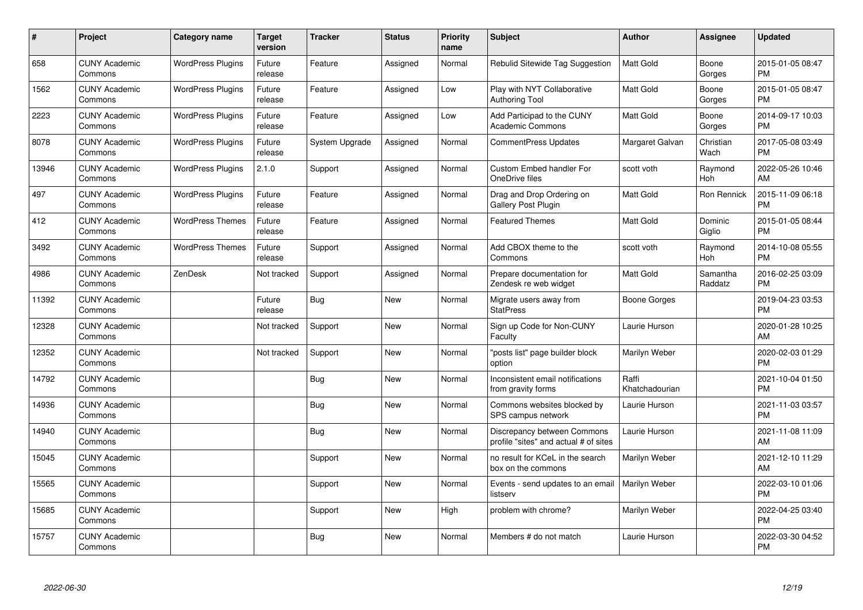| #     | Project                         | <b>Category name</b>     | <b>Target</b><br>version | <b>Tracker</b> | <b>Status</b> | <b>Priority</b><br>name | <b>Subject</b>                                                       | <b>Author</b>           | Assignee            | <b>Updated</b>                |
|-------|---------------------------------|--------------------------|--------------------------|----------------|---------------|-------------------------|----------------------------------------------------------------------|-------------------------|---------------------|-------------------------------|
| 658   | <b>CUNY Academic</b><br>Commons | <b>WordPress Plugins</b> | Future<br>release        | Feature        | Assigned      | Normal                  | Rebulid Sitewide Tag Suggestion                                      | <b>Matt Gold</b>        | Boone<br>Gorges     | 2015-01-05 08:47<br><b>PM</b> |
| 1562  | <b>CUNY Academic</b><br>Commons | <b>WordPress Plugins</b> | Future<br>release        | Feature        | Assigned      | Low                     | Play with NYT Collaborative<br><b>Authoring Tool</b>                 | <b>Matt Gold</b>        | Boone<br>Gorges     | 2015-01-05 08:47<br><b>PM</b> |
| 2223  | <b>CUNY Academic</b><br>Commons | <b>WordPress Plugins</b> | Future<br>release        | Feature        | Assigned      | Low                     | Add Participad to the CUNY<br><b>Academic Commons</b>                | <b>Matt Gold</b>        | Boone<br>Gorges     | 2014-09-17 10:03<br><b>PM</b> |
| 8078  | <b>CUNY Academic</b><br>Commons | <b>WordPress Plugins</b> | Future<br>release        | System Upgrade | Assigned      | Normal                  | <b>CommentPress Updates</b>                                          | Margaret Galvan         | Christian<br>Wach   | 2017-05-08 03:49<br><b>PM</b> |
| 13946 | <b>CUNY Academic</b><br>Commons | <b>WordPress Plugins</b> | 2.1.0                    | Support        | Assigned      | Normal                  | Custom Embed handler For<br>OneDrive files                           | scott voth              | Raymond<br>Hoh      | 2022-05-26 10:46<br>AM        |
| 497   | <b>CUNY Academic</b><br>Commons | <b>WordPress Plugins</b> | Future<br>release        | Feature        | Assigned      | Normal                  | Drag and Drop Ordering on<br>Gallery Post Plugin                     | <b>Matt Gold</b>        | Ron Rennick         | 2015-11-09 06:18<br><b>PM</b> |
| 412   | <b>CUNY Academic</b><br>Commons | <b>WordPress Themes</b>  | Future<br>release        | Feature        | Assigned      | Normal                  | <b>Featured Themes</b>                                               | <b>Matt Gold</b>        | Dominic<br>Giglio   | 2015-01-05 08:44<br><b>PM</b> |
| 3492  | <b>CUNY Academic</b><br>Commons | <b>WordPress Themes</b>  | Future<br>release        | Support        | Assigned      | Normal                  | Add CBOX theme to the<br>Commons                                     | scott voth              | Raymond<br>Hoh      | 2014-10-08 05:55<br><b>PM</b> |
| 4986  | <b>CUNY Academic</b><br>Commons | ZenDesk                  | Not tracked              | Support        | Assigned      | Normal                  | Prepare documentation for<br>Zendesk re web widget                   | <b>Matt Gold</b>        | Samantha<br>Raddatz | 2016-02-25 03:09<br><b>PM</b> |
| 11392 | <b>CUNY Academic</b><br>Commons |                          | Future<br>release        | Bug            | New           | Normal                  | Migrate users away from<br><b>StatPress</b>                          | Boone Gorges            |                     | 2019-04-23 03:53<br><b>PM</b> |
| 12328 | <b>CUNY Academic</b><br>Commons |                          | Not tracked              | Support        | <b>New</b>    | Normal                  | Sign up Code for Non-CUNY<br>Faculty                                 | Laurie Hurson           |                     | 2020-01-28 10:25<br>AM        |
| 12352 | <b>CUNY Academic</b><br>Commons |                          | Not tracked              | Support        | <b>New</b>    | Normal                  | "posts list" page builder block<br>option                            | Marilyn Weber           |                     | 2020-02-03 01:29<br><b>PM</b> |
| 14792 | <b>CUNY Academic</b><br>Commons |                          |                          | Bug            | <b>New</b>    | Normal                  | Inconsistent email notifications<br>from gravity forms               | Raffi<br>Khatchadourian |                     | 2021-10-04 01:50<br><b>PM</b> |
| 14936 | <b>CUNY Academic</b><br>Commons |                          |                          | <b>Bug</b>     | <b>New</b>    | Normal                  | Commons websites blocked by<br>SPS campus network                    | Laurie Hurson           |                     | 2021-11-03 03:57<br><b>PM</b> |
| 14940 | <b>CUNY Academic</b><br>Commons |                          |                          | Bug            | <b>New</b>    | Normal                  | Discrepancy between Commons<br>profile "sites" and actual # of sites | Laurie Hurson           |                     | 2021-11-08 11:09<br>AM        |
| 15045 | <b>CUNY Academic</b><br>Commons |                          |                          | Support        | New           | Normal                  | no result for KCeL in the search<br>box on the commons               | Marilyn Weber           |                     | 2021-12-10 11:29<br>AM        |
| 15565 | <b>CUNY Academic</b><br>Commons |                          |                          | Support        | <b>New</b>    | Normal                  | Events - send updates to an email<br>listserv                        | Marilyn Weber           |                     | 2022-03-10 01:06<br><b>PM</b> |
| 15685 | <b>CUNY Academic</b><br>Commons |                          |                          | Support        | New           | High                    | problem with chrome?                                                 | Marilyn Weber           |                     | 2022-04-25 03:40<br><b>PM</b> |
| 15757 | <b>CUNY Academic</b><br>Commons |                          |                          | <b>Bug</b>     | <b>New</b>    | Normal                  | Members # do not match                                               | Laurie Hurson           |                     | 2022-03-30 04:52<br><b>PM</b> |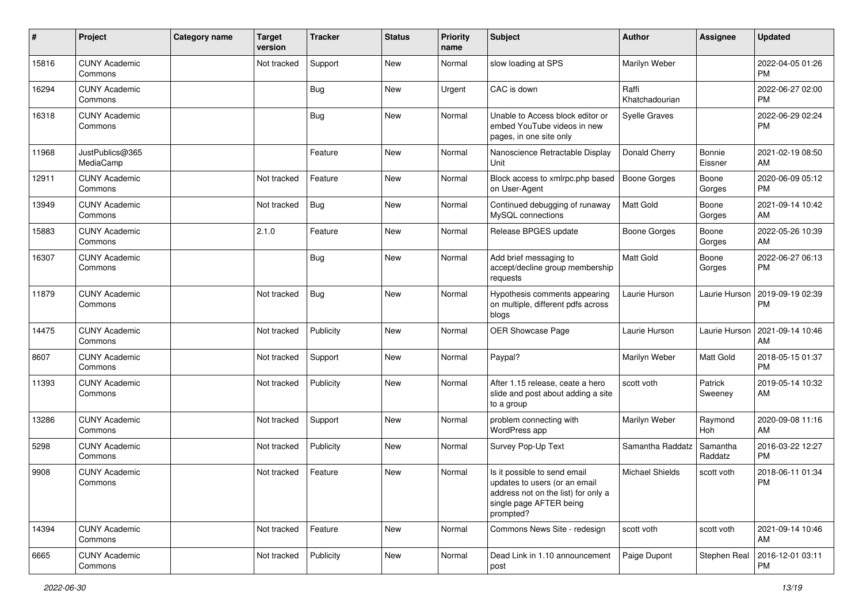| #     | Project                         | <b>Category name</b> | <b>Target</b><br>version | <b>Tracker</b> | <b>Status</b> | <b>Priority</b><br>name | <b>Subject</b>                                                                                                                               | <b>Author</b>           | <b>Assignee</b>     | <b>Updated</b>                |
|-------|---------------------------------|----------------------|--------------------------|----------------|---------------|-------------------------|----------------------------------------------------------------------------------------------------------------------------------------------|-------------------------|---------------------|-------------------------------|
| 15816 | <b>CUNY Academic</b><br>Commons |                      | Not tracked              | Support        | New           | Normal                  | slow loading at SPS                                                                                                                          | Marilyn Weber           |                     | 2022-04-05 01:26<br>PM.       |
| 16294 | <b>CUNY Academic</b><br>Commons |                      |                          | Bug            | New           | Urgent                  | CAC is down                                                                                                                                  | Raffi<br>Khatchadourian |                     | 2022-06-27 02:00<br><b>PM</b> |
| 16318 | <b>CUNY Academic</b><br>Commons |                      |                          | Bug            | New           | Normal                  | Unable to Access block editor or<br>embed YouTube videos in new<br>pages, in one site only                                                   | <b>Syelle Graves</b>    |                     | 2022-06-29 02:24<br><b>PM</b> |
| 11968 | JustPublics@365<br>MediaCamp    |                      |                          | Feature        | New           | Normal                  | Nanoscience Retractable Display<br>Unit                                                                                                      | Donald Cherry           | Bonnie<br>Eissner   | 2021-02-19 08:50<br>AM        |
| 12911 | <b>CUNY Academic</b><br>Commons |                      | Not tracked              | Feature        | New           | Normal                  | Block access to xmlrpc.php based<br>on User-Agent                                                                                            | <b>Boone Gorges</b>     | Boone<br>Gorges     | 2020-06-09 05:12<br>PM.       |
| 13949 | <b>CUNY Academic</b><br>Commons |                      | Not tracked              | Bug            | New           | Normal                  | Continued debugging of runaway<br>MySQL connections                                                                                          | <b>Matt Gold</b>        | Boone<br>Gorges     | 2021-09-14 10:42<br>AM        |
| 15883 | <b>CUNY Academic</b><br>Commons |                      | 2.1.0                    | Feature        | New           | Normal                  | Release BPGES update                                                                                                                         | <b>Boone Gorges</b>     | Boone<br>Gorges     | 2022-05-26 10:39<br>AM        |
| 16307 | <b>CUNY Academic</b><br>Commons |                      |                          | Bug            | New           | Normal                  | Add brief messaging to<br>accept/decline group membership<br>requests                                                                        | Matt Gold               | Boone<br>Gorges     | 2022-06-27 06:13<br><b>PM</b> |
| 11879 | <b>CUNY Academic</b><br>Commons |                      | Not tracked              | <b>Bug</b>     | New           | Normal                  | Hypothesis comments appearing<br>on multiple, different pdfs across<br>blogs                                                                 | Laurie Hurson           | Laurie Hurson       | 2019-09-19 02:39<br><b>PM</b> |
| 14475 | <b>CUNY Academic</b><br>Commons |                      | Not tracked              | Publicity      | New           | Normal                  | OER Showcase Page                                                                                                                            | Laurie Hurson           | Laurie Hurson       | 2021-09-14 10:46<br>AM        |
| 8607  | <b>CUNY Academic</b><br>Commons |                      | Not tracked              | Support        | New           | Normal                  | Paypal?                                                                                                                                      | Marilyn Weber           | Matt Gold           | 2018-05-15 01:37<br><b>PM</b> |
| 11393 | <b>CUNY Academic</b><br>Commons |                      | Not tracked              | Publicity      | New           | Normal                  | After 1.15 release, ceate a hero<br>slide and post about adding a site<br>to a group                                                         | scott voth              | Patrick<br>Sweeney  | 2019-05-14 10:32<br>AM        |
| 13286 | <b>CUNY Academic</b><br>Commons |                      | Not tracked              | Support        | New           | Normal                  | problem connecting with<br>WordPress app                                                                                                     | Marilyn Weber           | Raymond<br>Hoh      | 2020-09-08 11:16<br>AM        |
| 5298  | <b>CUNY Academic</b><br>Commons |                      | Not tracked              | Publicity      | New           | Normal                  | Survey Pop-Up Text                                                                                                                           | Samantha Raddatz        | Samantha<br>Raddatz | 2016-03-22 12:27<br><b>PM</b> |
| 9908  | <b>CUNY Academic</b><br>Commons |                      | Not tracked              | Feature        | <b>New</b>    | Normal                  | Is it possible to send email<br>updates to users (or an email<br>address not on the list) for only a<br>single page AFTER being<br>prompted? | Michael Shields         | scott voth          | 2018-06-11 01:34<br><b>PM</b> |
| 14394 | <b>CUNY Academic</b><br>Commons |                      | Not tracked              | Feature        | New           | Normal                  | Commons News Site - redesign                                                                                                                 | scott voth              | scott voth          | 2021-09-14 10:46<br>AM        |
| 6665  | <b>CUNY Academic</b><br>Commons |                      | Not tracked              | Publicity      | New           | Normal                  | Dead Link in 1.10 announcement<br>post                                                                                                       | Paige Dupont            | Stephen Real        | 2016-12-01 03:11<br>PM        |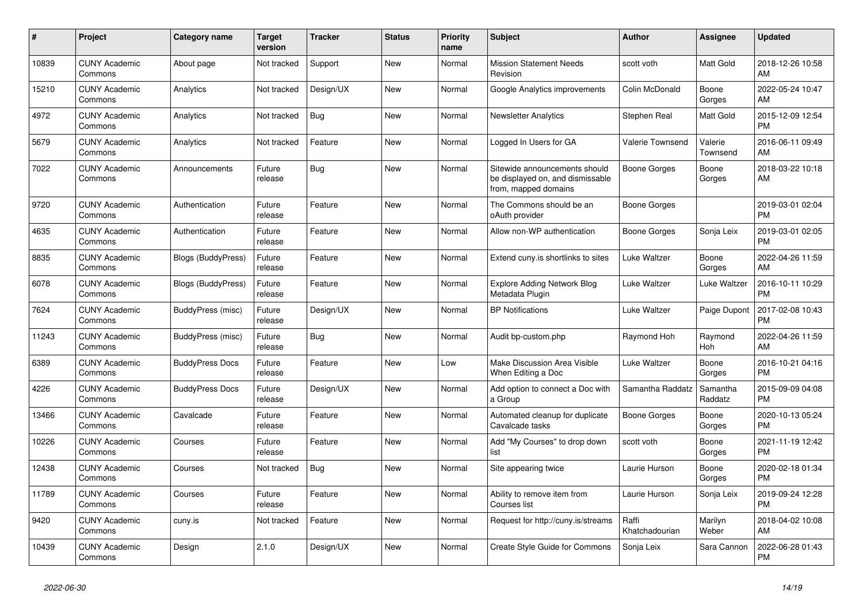| $\#$  | Project                         | <b>Category name</b>      | <b>Target</b><br>version | <b>Tracker</b> | <b>Status</b> | <b>Priority</b><br>name | <b>Subject</b>                                                                            | <b>Author</b>           | <b>Assignee</b>     | <b>Updated</b>                |
|-------|---------------------------------|---------------------------|--------------------------|----------------|---------------|-------------------------|-------------------------------------------------------------------------------------------|-------------------------|---------------------|-------------------------------|
| 10839 | <b>CUNY Academic</b><br>Commons | About page                | Not tracked              | Support        | <b>New</b>    | Normal                  | <b>Mission Statement Needs</b><br>Revision                                                | scott voth              | Matt Gold           | 2018-12-26 10:58<br>AM        |
| 15210 | <b>CUNY Academic</b><br>Commons | Analytics                 | Not tracked              | Design/UX      | New           | Normal                  | Google Analytics improvements                                                             | Colin McDonald          | Boone<br>Gorges     | 2022-05-24 10:47<br>AM        |
| 4972  | <b>CUNY Academic</b><br>Commons | Analytics                 | Not tracked              | <b>Bug</b>     | <b>New</b>    | Normal                  | <b>Newsletter Analytics</b>                                                               | Stephen Real            | Matt Gold           | 2015-12-09 12:54<br><b>PM</b> |
| 5679  | <b>CUNY Academic</b><br>Commons | Analytics                 | Not tracked              | Feature        | <b>New</b>    | Normal                  | Logged In Users for GA                                                                    | Valerie Townsend        | Valerie<br>Townsend | 2016-06-11 09:49<br>AM        |
| 7022  | <b>CUNY Academic</b><br>Commons | Announcements             | Future<br>release        | Bug            | <b>New</b>    | Normal                  | Sitewide announcements should<br>be displayed on, and dismissable<br>from, mapped domains | Boone Gorges            | Boone<br>Gorges     | 2018-03-22 10:18<br>AM        |
| 9720  | <b>CUNY Academic</b><br>Commons | Authentication            | Future<br>release        | Feature        | <b>New</b>    | Normal                  | The Commons should be an<br>oAuth provider                                                | Boone Gorges            |                     | 2019-03-01 02:04<br><b>PM</b> |
| 4635  | <b>CUNY Academic</b><br>Commons | Authentication            | Future<br>release        | Feature        | <b>New</b>    | Normal                  | Allow non-WP authentication                                                               | Boone Gorges            | Sonja Leix          | 2019-03-01 02:05<br><b>PM</b> |
| 8835  | <b>CUNY Academic</b><br>Commons | Blogs (BuddyPress)        | Future<br>release        | Feature        | New           | Normal                  | Extend cuny is shortlinks to sites                                                        | Luke Waltzer            | Boone<br>Gorges     | 2022-04-26 11:59<br>AM        |
| 6078  | <b>CUNY Academic</b><br>Commons | <b>Blogs (BuddyPress)</b> | Future<br>release        | Feature        | <b>New</b>    | Normal                  | <b>Explore Adding Network Blog</b><br>Metadata Plugin                                     | Luke Waltzer            | Luke Waltzer        | 2016-10-11 10:29<br><b>PM</b> |
| 7624  | <b>CUNY Academic</b><br>Commons | BuddyPress (misc)         | Future<br>release        | Design/UX      | <b>New</b>    | Normal                  | <b>BP</b> Notifications                                                                   | Luke Waltzer            | Paige Dupont        | 2017-02-08 10:43<br><b>PM</b> |
| 11243 | <b>CUNY Academic</b><br>Commons | BuddyPress (misc)         | Future<br>release        | Bug            | New           | Normal                  | Audit bp-custom.php                                                                       | Raymond Hoh             | Raymond<br>Hoh      | 2022-04-26 11:59<br>AM        |
| 6389  | <b>CUNY Academic</b><br>Commons | <b>BuddyPress Docs</b>    | Future<br>release        | Feature        | <b>New</b>    | Low                     | Make Discussion Area Visible<br>When Editing a Doc                                        | Luke Waltzer            | Boone<br>Gorges     | 2016-10-21 04:16<br><b>PM</b> |
| 4226  | <b>CUNY Academic</b><br>Commons | <b>BuddyPress Docs</b>    | Future<br>release        | Design/UX      | <b>New</b>    | Normal                  | Add option to connect a Doc with<br>a Group                                               | Samantha Raddatz        | Samantha<br>Raddatz | 2015-09-09 04:08<br><b>PM</b> |
| 13466 | <b>CUNY Academic</b><br>Commons | Cavalcade                 | Future<br>release        | Feature        | New           | Normal                  | Automated cleanup for duplicate<br>Cavalcade tasks                                        | Boone Gorges            | Boone<br>Gorges     | 2020-10-13 05:24<br><b>PM</b> |
| 10226 | <b>CUNY Academic</b><br>Commons | Courses                   | Future<br>release        | Feature        | New           | Normal                  | Add "My Courses" to drop down<br>list                                                     | scott voth              | Boone<br>Gorges     | 2021-11-19 12:42<br><b>PM</b> |
| 12438 | <b>CUNY Academic</b><br>Commons | Courses                   | Not tracked              | <b>Bug</b>     | New           | Normal                  | Site appearing twice                                                                      | Laurie Hurson           | Boone<br>Gorges     | 2020-02-18 01:34<br><b>PM</b> |
| 11789 | <b>CUNY Academic</b><br>Commons | Courses                   | Future<br>release        | Feature        | <b>New</b>    | Normal                  | Ability to remove item from<br>Courses list                                               | Laurie Hurson           | Sonja Leix          | 2019-09-24 12:28<br><b>PM</b> |
| 9420  | <b>CUNY Academic</b><br>Commons | cuny.is                   | Not tracked              | Feature        | New           | Normal                  | Request for http://cuny.is/streams                                                        | Raffi<br>Khatchadourian | Marilyn<br>Weber    | 2018-04-02 10:08<br>AM        |
| 10439 | <b>CUNY Academic</b><br>Commons | Design                    | 2.1.0                    | Design/UX      | <b>New</b>    | Normal                  | Create Style Guide for Commons                                                            | Sonja Leix              | Sara Cannon         | 2022-06-28 01:43<br><b>PM</b> |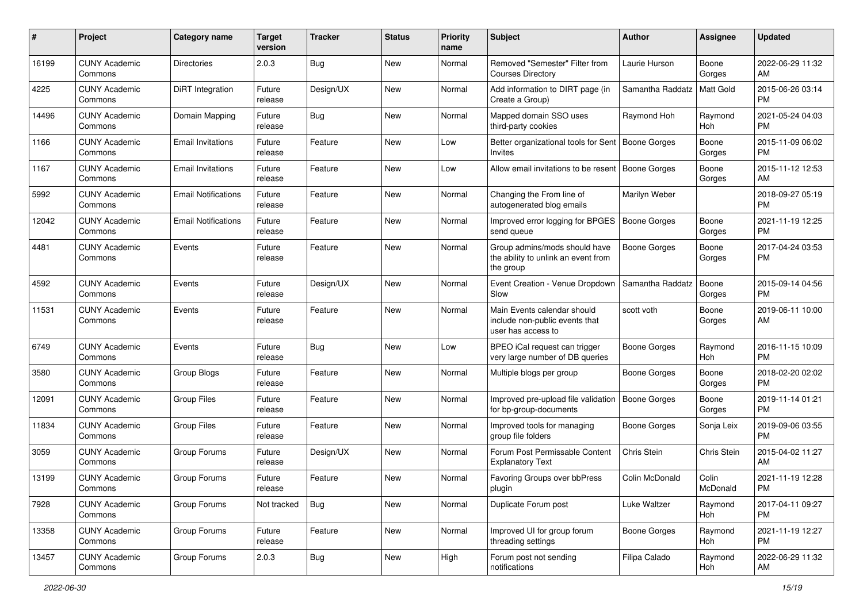| #     | Project                         | <b>Category name</b>       | <b>Target</b><br>version | <b>Tracker</b> | <b>Status</b> | Priority<br>name | <b>Subject</b>                                                                      | <b>Author</b>       | <b>Assignee</b>   | <b>Updated</b>                |
|-------|---------------------------------|----------------------------|--------------------------|----------------|---------------|------------------|-------------------------------------------------------------------------------------|---------------------|-------------------|-------------------------------|
| 16199 | <b>CUNY Academic</b><br>Commons | <b>Directories</b>         | 2.0.3                    | Bug            | New           | Normal           | Removed "Semester" Filter from<br><b>Courses Directory</b>                          | Laurie Hurson       | Boone<br>Gorges   | 2022-06-29 11:32<br>AM.       |
| 4225  | <b>CUNY Academic</b><br>Commons | DiRT Integration           | Future<br>release        | Design/UX      | New           | Normal           | Add information to DIRT page (in<br>Create a Group)                                 | Samantha Raddatz    | Matt Gold         | 2015-06-26 03:14<br><b>PM</b> |
| 14496 | <b>CUNY Academic</b><br>Commons | Domain Mapping             | Future<br>release        | Bug            | New           | Normal           | Mapped domain SSO uses<br>third-party cookies                                       | Raymond Hoh         | Raymond<br>Hoh    | 2021-05-24 04:03<br><b>PM</b> |
| 1166  | <b>CUNY Academic</b><br>Commons | <b>Email Invitations</b>   | Future<br>release        | Feature        | New           | Low              | Better organizational tools for Sent<br>Invites                                     | Boone Gorges        | Boone<br>Gorges   | 2015-11-09 06:02<br><b>PM</b> |
| 1167  | <b>CUNY Academic</b><br>Commons | <b>Email Invitations</b>   | Future<br>release        | Feature        | New           | Low              | Allow email invitations to be resent                                                | Boone Gorges        | Boone<br>Gorges   | 2015-11-12 12:53<br>AM        |
| 5992  | <b>CUNY Academic</b><br>Commons | <b>Email Notifications</b> | Future<br>release        | Feature        | New           | Normal           | Changing the From line of<br>autogenerated blog emails                              | Marilyn Weber       |                   | 2018-09-27 05:19<br><b>PM</b> |
| 12042 | <b>CUNY Academic</b><br>Commons | <b>Email Notifications</b> | Future<br>release        | Feature        | New           | Normal           | Improved error logging for BPGES<br>send queue                                      | <b>Boone Gorges</b> | Boone<br>Gorges   | 2021-11-19 12:25<br><b>PM</b> |
| 4481  | <b>CUNY Academic</b><br>Commons | Events                     | Future<br>release        | Feature        | <b>New</b>    | Normal           | Group admins/mods should have<br>the ability to unlink an event from<br>the group   | <b>Boone Gorges</b> | Boone<br>Gorges   | 2017-04-24 03:53<br>PM.       |
| 4592  | <b>CUNY Academic</b><br>Commons | Events                     | Future<br>release        | Design/UX      | New           | Normal           | Event Creation - Venue Dropdown<br>Slow                                             | Samantha Raddatz    | Boone<br>Gorges   | 2015-09-14 04:56<br>PM.       |
| 11531 | <b>CUNY Academic</b><br>Commons | Events                     | Future<br>release        | Feature        | New           | Normal           | Main Events calendar should<br>include non-public events that<br>user has access to | scott voth          | Boone<br>Gorges   | 2019-06-11 10:00<br>AM        |
| 6749  | <b>CUNY Academic</b><br>Commons | Events                     | Future<br>release        | Bug            | New           | Low              | BPEO iCal request can trigger<br>very large number of DB queries                    | Boone Gorges        | Raymond<br>Hoh    | 2016-11-15 10:09<br><b>PM</b> |
| 3580  | <b>CUNY Academic</b><br>Commons | Group Blogs                | Future<br>release        | Feature        | New           | Normal           | Multiple blogs per group                                                            | Boone Gorges        | Boone<br>Gorges   | 2018-02-20 02:02<br><b>PM</b> |
| 12091 | <b>CUNY Academic</b><br>Commons | <b>Group Files</b>         | Future<br>release        | Feature        | <b>New</b>    | Normal           | Improved pre-upload file validation<br>for bp-group-documents                       | <b>Boone Gorges</b> | Boone<br>Gorges   | 2019-11-14 01:21<br>PM        |
| 11834 | <b>CUNY Academic</b><br>Commons | <b>Group Files</b>         | Future<br>release        | Feature        | <b>New</b>    | Normal           | Improved tools for managing<br>group file folders                                   | Boone Gorges        | Sonja Leix        | 2019-09-06 03:55<br><b>PM</b> |
| 3059  | <b>CUNY Academic</b><br>Commons | Group Forums               | Future<br>release        | Design/UX      | New           | Normal           | Forum Post Permissable Content<br><b>Explanatory Text</b>                           | Chris Stein         | Chris Stein       | 2015-04-02 11:27<br>AM        |
| 13199 | <b>CUNY Academic</b><br>Commons | Group Forums               | Future<br>release        | Feature        | New           | Normal           | Favoring Groups over bbPress<br>plugin                                              | Colin McDonald      | Colin<br>McDonald | 2021-11-19 12:28<br>PM        |
| 7928  | <b>CUNY Academic</b><br>Commons | Group Forums               | Not tracked              | Bug            | New           | Normal           | Duplicate Forum post                                                                | Luke Waltzer        | Raymond<br>Hoh    | 2017-04-11 09:27<br>PM        |
| 13358 | <b>CUNY Academic</b><br>Commons | Group Forums               | Future<br>release        | Feature        | New           | Normal           | Improved UI for group forum<br>threading settings                                   | Boone Gorges        | Raymond<br>Hoh    | 2021-11-19 12:27<br><b>PM</b> |
| 13457 | <b>CUNY Academic</b><br>Commons | Group Forums               | 2.0.3                    | <b>Bug</b>     | New           | High             | Forum post not sending<br>notifications                                             | Filipa Calado       | Raymond<br>Hoh    | 2022-06-29 11:32<br>AM        |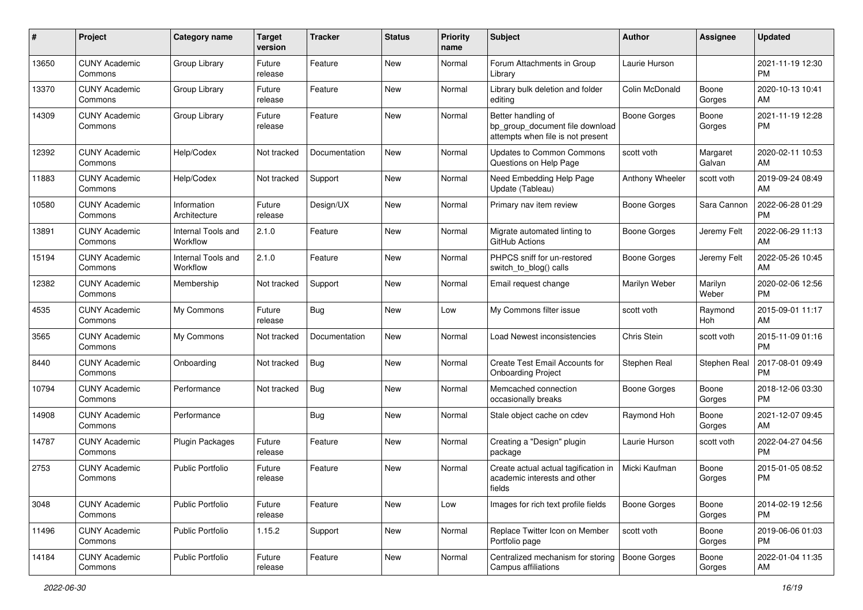| #     | Project                         | <b>Category name</b>           | <b>Target</b><br>version | <b>Tracker</b> | <b>Status</b> | <b>Priority</b><br>name | Subject                                                                                    | Author          | <b>Assignee</b>    | <b>Updated</b>                |
|-------|---------------------------------|--------------------------------|--------------------------|----------------|---------------|-------------------------|--------------------------------------------------------------------------------------------|-----------------|--------------------|-------------------------------|
| 13650 | <b>CUNY Academic</b><br>Commons | Group Library                  | Future<br>release        | Feature        | <b>New</b>    | Normal                  | Forum Attachments in Group<br>Library                                                      | Laurie Hurson   |                    | 2021-11-19 12:30<br><b>PM</b> |
| 13370 | <b>CUNY Academic</b><br>Commons | Group Library                  | Future<br>release        | Feature        | New           | Normal                  | Library bulk deletion and folder<br>editing                                                | Colin McDonald  | Boone<br>Gorges    | 2020-10-13 10:41<br>AM        |
| 14309 | <b>CUNY Academic</b><br>Commons | Group Library                  | Future<br>release        | Feature        | New           | Normal                  | Better handling of<br>bp_group_document file download<br>attempts when file is not present | Boone Gorges    | Boone<br>Gorges    | 2021-11-19 12:28<br><b>PM</b> |
| 12392 | <b>CUNY Academic</b><br>Commons | Help/Codex                     | Not tracked              | Documentation  | <b>New</b>    | Normal                  | <b>Updates to Common Commons</b><br>Questions on Help Page                                 | scott voth      | Margaret<br>Galvan | 2020-02-11 10:53<br>AM        |
| 11883 | <b>CUNY Academic</b><br>Commons | Help/Codex                     | Not tracked              | Support        | New           | Normal                  | Need Embedding Help Page<br>Update (Tableau)                                               | Anthony Wheeler | scott voth         | 2019-09-24 08:49<br>AM        |
| 10580 | <b>CUNY Academic</b><br>Commons | Information<br>Architecture    | Future<br>release        | Design/UX      | New           | Normal                  | Primary nav item review                                                                    | Boone Gorges    | Sara Cannon        | 2022-06-28 01:29<br><b>PM</b> |
| 13891 | <b>CUNY Academic</b><br>Commons | Internal Tools and<br>Workflow | 2.1.0                    | Feature        | New           | Normal                  | Migrate automated linting to<br>GitHub Actions                                             | Boone Gorges    | Jeremy Felt        | 2022-06-29 11:13<br>AM        |
| 15194 | <b>CUNY Academic</b><br>Commons | Internal Tools and<br>Workflow | 2.1.0                    | Feature        | New           | Normal                  | PHPCS sniff for un-restored<br>switch to blog() calls                                      | Boone Gorges    | Jeremy Felt        | 2022-05-26 10:45<br>AM.       |
| 12382 | <b>CUNY Academic</b><br>Commons | Membership                     | Not tracked              | Support        | <b>New</b>    | Normal                  | Email request change                                                                       | Marilyn Weber   | Marilyn<br>Weber   | 2020-02-06 12:56<br>PM.       |
| 4535  | <b>CUNY Academic</b><br>Commons | My Commons                     | Future<br>release        | Bug            | New           | Low                     | My Commons filter issue                                                                    | scott voth      | Raymond<br>Hoh     | 2015-09-01 11:17<br>AM        |
| 3565  | <b>CUNY Academic</b><br>Commons | My Commons                     | Not tracked              | Documentation  | <b>New</b>    | Normal                  | Load Newest inconsistencies                                                                | Chris Stein     | scott voth         | 2015-11-09 01:16<br><b>PM</b> |
| 8440  | <b>CUNY Academic</b><br>Commons | Onboarding                     | Not tracked              | Bug            | <b>New</b>    | Normal                  | Create Test Email Accounts for<br><b>Onboarding Project</b>                                | Stephen Real    | Stephen Real       | 2017-08-01 09:49<br><b>PM</b> |
| 10794 | <b>CUNY Academic</b><br>Commons | Performance                    | Not tracked              | Bug            | New           | Normal                  | Memcached connection<br>occasionally breaks                                                | Boone Gorges    | Boone<br>Gorges    | 2018-12-06 03:30<br><b>PM</b> |
| 14908 | <b>CUNY Academic</b><br>Commons | Performance                    |                          | Bug            | New           | Normal                  | Stale object cache on cdev                                                                 | Raymond Hoh     | Boone<br>Gorges    | 2021-12-07 09:45<br>AM.       |
| 14787 | <b>CUNY Academic</b><br>Commons | Plugin Packages                | Future<br>release        | Feature        | New           | Normal                  | Creating a "Design" plugin<br>package                                                      | Laurie Hurson   | scott voth         | 2022-04-27 04:56<br><b>PM</b> |
| 2753  | <b>CUNY Academic</b><br>Commons | <b>Public Portfolio</b>        | Future<br>release        | Feature        | New           | Normal                  | Create actual actual tagification in<br>academic interests and other<br>fields             | Micki Kaufman   | Boone<br>Gorges    | 2015-01-05 08:52<br><b>PM</b> |
| 3048  | <b>CUNY Academic</b><br>Commons | <b>Public Portfolio</b>        | Future<br>release        | Feature        | New           | Low                     | Images for rich text profile fields                                                        | Boone Gorges    | Boone<br>Gorges    | 2014-02-19 12:56<br>PM        |
| 11496 | <b>CUNY Academic</b><br>Commons | <b>Public Portfolio</b>        | 1.15.2                   | Support        | New           | Normal                  | Replace Twitter Icon on Member<br>Portfolio page                                           | scott voth      | Boone<br>Gorges    | 2019-06-06 01:03<br><b>PM</b> |
| 14184 | <b>CUNY Academic</b><br>Commons | Public Portfolio               | Future<br>release        | Feature        | New           | Normal                  | Centralized mechanism for storing<br>Campus affiliations                                   | Boone Gorges    | Boone<br>Gorges    | 2022-01-04 11:35<br>AM        |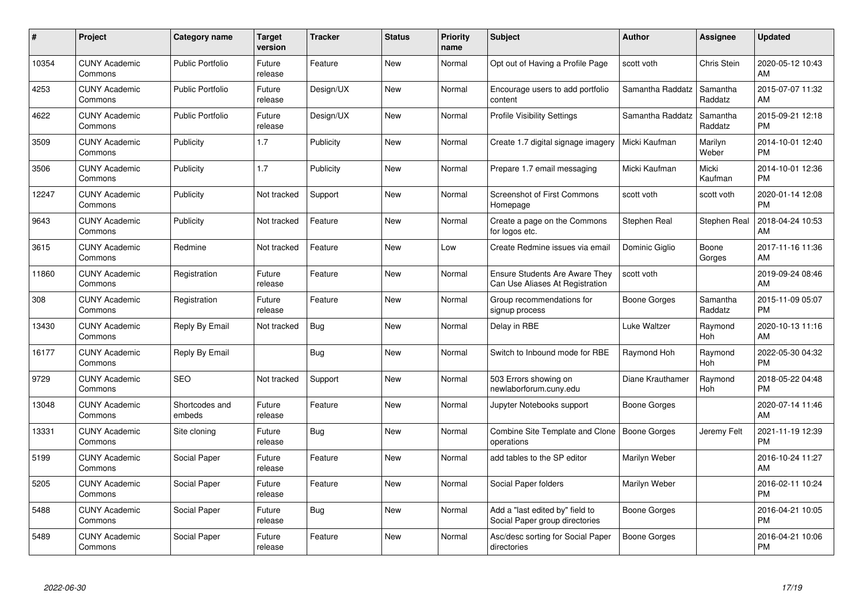| $\pmb{\#}$ | Project                         | <b>Category name</b>     | <b>Target</b><br>version | <b>Tracker</b> | <b>Status</b> | Priority<br>name | <b>Subject</b>                                                           | <b>Author</b>    | <b>Assignee</b>     | <b>Updated</b>                |
|------------|---------------------------------|--------------------------|--------------------------|----------------|---------------|------------------|--------------------------------------------------------------------------|------------------|---------------------|-------------------------------|
| 10354      | <b>CUNY Academic</b><br>Commons | <b>Public Portfolio</b>  | Future<br>release        | Feature        | <b>New</b>    | Normal           | Opt out of Having a Profile Page                                         | scott voth       | Chris Stein         | 2020-05-12 10:43<br>AM        |
| 4253       | <b>CUNY Academic</b><br>Commons | <b>Public Portfolio</b>  | Future<br>release        | Design/UX      | <b>New</b>    | Normal           | Encourage users to add portfolio<br>content                              | Samantha Raddatz | Samantha<br>Raddatz | 2015-07-07 11:32<br>AM        |
| 4622       | <b>CUNY Academic</b><br>Commons | <b>Public Portfolio</b>  | Future<br>release        | Design/UX      | <b>New</b>    | Normal           | <b>Profile Visibility Settings</b>                                       | Samantha Raddatz | Samantha<br>Raddatz | 2015-09-21 12:18<br><b>PM</b> |
| 3509       | <b>CUNY Academic</b><br>Commons | Publicity                | 1.7                      | Publicity      | <b>New</b>    | Normal           | Create 1.7 digital signage imagery                                       | Micki Kaufman    | Marilyn<br>Weber    | 2014-10-01 12:40<br><b>PM</b> |
| 3506       | <b>CUNY Academic</b><br>Commons | Publicity                | 1.7                      | Publicity      | <b>New</b>    | Normal           | Prepare 1.7 email messaging                                              | Micki Kaufman    | Micki<br>Kaufman    | 2014-10-01 12:36<br><b>PM</b> |
| 12247      | <b>CUNY Academic</b><br>Commons | Publicity                | Not tracked              | Support        | <b>New</b>    | Normal           | Screenshot of First Commons<br>Homepage                                  | scott voth       | scott voth          | 2020-01-14 12:08<br><b>PM</b> |
| 9643       | <b>CUNY Academic</b><br>Commons | Publicity                | Not tracked              | Feature        | <b>New</b>    | Normal           | Create a page on the Commons<br>for logos etc.                           | Stephen Real     | Stephen Real        | 2018-04-24 10:53<br>AM        |
| 3615       | <b>CUNY Academic</b><br>Commons | Redmine                  | Not tracked              | Feature        | <b>New</b>    | Low              | Create Redmine issues via email                                          | Dominic Giglio   | Boone<br>Gorges     | 2017-11-16 11:36<br>AM        |
| 11860      | <b>CUNY Academic</b><br>Commons | Registration             | Future<br>release        | Feature        | New           | Normal           | <b>Ensure Students Are Aware They</b><br>Can Use Aliases At Registration | scott voth       |                     | 2019-09-24 08:46<br>AM        |
| 308        | <b>CUNY Academic</b><br>Commons | Registration             | Future<br>release        | Feature        | <b>New</b>    | Normal           | Group recommendations for<br>signup process                              | Boone Gorges     | Samantha<br>Raddatz | 2015-11-09 05:07<br><b>PM</b> |
| 13430      | <b>CUNY Academic</b><br>Commons | Reply By Email           | Not tracked              | Bug            | New           | Normal           | Delay in RBE                                                             | Luke Waltzer     | Raymond<br>Hoh      | 2020-10-13 11:16<br>AM        |
| 16177      | <b>CUNY Academic</b><br>Commons | Reply By Email           |                          | <b>Bug</b>     | New           | Normal           | Switch to Inbound mode for RBE                                           | Raymond Hoh      | Raymond<br>Hoh      | 2022-05-30 04:32<br><b>PM</b> |
| 9729       | <b>CUNY Academic</b><br>Commons | <b>SEO</b>               | Not tracked              | Support        | New           | Normal           | 503 Errors showing on<br>newlaborforum.cuny.edu                          | Diane Krauthamer | Raymond<br>Hoh      | 2018-05-22 04:48<br><b>PM</b> |
| 13048      | <b>CUNY Academic</b><br>Commons | Shortcodes and<br>embeds | Future<br>release        | Feature        | New           | Normal           | Jupyter Notebooks support                                                | Boone Gorges     |                     | 2020-07-14 11:46<br>AM        |
| 13331      | <b>CUNY Academic</b><br>Commons | Site cloning             | Future<br>release        | <b>Bug</b>     | New           | Normal           | Combine Site Template and Clone   Boone Gorges<br>operations             |                  | Jeremy Felt         | 2021-11-19 12:39<br><b>PM</b> |
| 5199       | <b>CUNY Academic</b><br>Commons | Social Paper             | Future<br>release        | Feature        | New           | Normal           | add tables to the SP editor                                              | Marilyn Weber    |                     | 2016-10-24 11:27<br>AM        |
| 5205       | <b>CUNY Academic</b><br>Commons | Social Paper             | Future<br>release        | Feature        | New           | Normal           | Social Paper folders                                                     | Marilyn Weber    |                     | 2016-02-11 10:24<br><b>PM</b> |
| 5488       | <b>CUNY Academic</b><br>Commons | Social Paper             | Future<br>release        | Bug            | New           | Normal           | Add a "last edited by" field to<br>Social Paper group directories        | Boone Gorges     |                     | 2016-04-21 10:05<br><b>PM</b> |
| 5489       | <b>CUNY Academic</b><br>Commons | Social Paper             | Future<br>release        | Feature        | <b>New</b>    | Normal           | Asc/desc sorting for Social Paper<br>directories                         | Boone Gorges     |                     | 2016-04-21 10:06<br><b>PM</b> |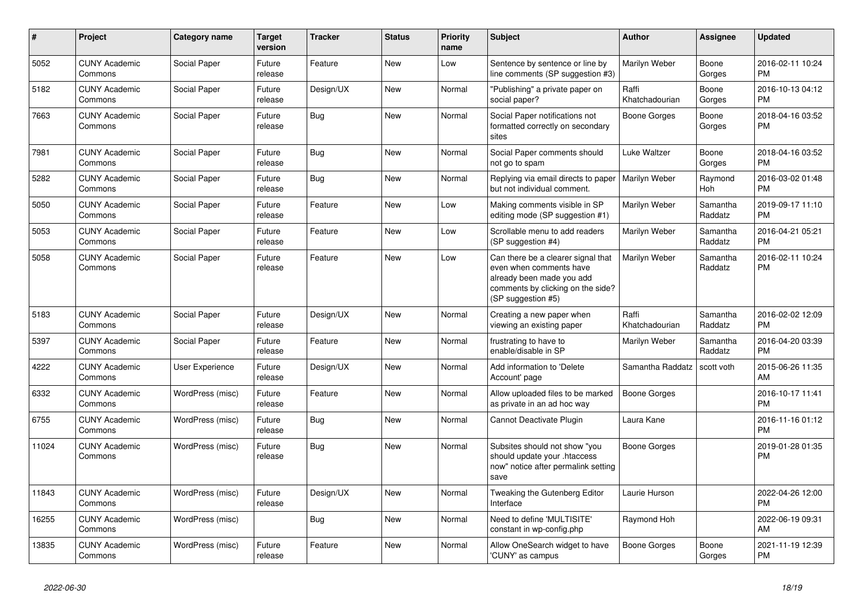| $\pmb{\sharp}$ | <b>Project</b>                  | Category name    | <b>Target</b><br>version | <b>Tracker</b> | <b>Status</b> | <b>Priority</b><br>name | <b>Subject</b>                                                                                                                                        | <b>Author</b>           | Assignee            | <b>Updated</b>                |
|----------------|---------------------------------|------------------|--------------------------|----------------|---------------|-------------------------|-------------------------------------------------------------------------------------------------------------------------------------------------------|-------------------------|---------------------|-------------------------------|
| 5052           | <b>CUNY Academic</b><br>Commons | Social Paper     | Future<br>release        | Feature        | <b>New</b>    | Low                     | Sentence by sentence or line by<br>line comments (SP suggestion #3)                                                                                   | Marilyn Weber           | Boone<br>Gorges     | 2016-02-11 10:24<br><b>PM</b> |
| 5182           | <b>CUNY Academic</b><br>Commons | Social Paper     | Future<br>release        | Design/UX      | New           | Normal                  | "Publishing" a private paper on<br>social paper?                                                                                                      | Raffi<br>Khatchadourian | Boone<br>Gorges     | 2016-10-13 04:12<br>PM        |
| 7663           | <b>CUNY Academic</b><br>Commons | Social Paper     | Future<br>release        | Bug            | <b>New</b>    | Normal                  | Social Paper notifications not<br>formatted correctly on secondary<br>sites                                                                           | Boone Gorges            | Boone<br>Gorges     | 2018-04-16 03:52<br><b>PM</b> |
| 7981           | <b>CUNY Academic</b><br>Commons | Social Paper     | Future<br>release        | Bug            | <b>New</b>    | Normal                  | Social Paper comments should<br>not go to spam                                                                                                        | Luke Waltzer            | Boone<br>Gorges     | 2018-04-16 03:52<br><b>PM</b> |
| 5282           | <b>CUNY Academic</b><br>Commons | Social Paper     | Future<br>release        | Bug            | New           | Normal                  | Replying via email directs to paper<br>but not individual comment.                                                                                    | Marilyn Weber           | Raymond<br>Hoh      | 2016-03-02 01:48<br><b>PM</b> |
| 5050           | <b>CUNY Academic</b><br>Commons | Social Paper     | Future<br>release        | Feature        | New           | Low                     | Making comments visible in SP<br>editing mode (SP suggestion #1)                                                                                      | Marilyn Weber           | Samantha<br>Raddatz | 2019-09-17 11:10<br><b>PM</b> |
| 5053           | <b>CUNY Academic</b><br>Commons | Social Paper     | Future<br>release        | Feature        | <b>New</b>    | Low                     | Scrollable menu to add readers<br>(SP suggestion #4)                                                                                                  | Marilyn Weber           | Samantha<br>Raddatz | 2016-04-21 05:21<br><b>PM</b> |
| 5058           | <b>CUNY Academic</b><br>Commons | Social Paper     | Future<br>release        | Feature        | <b>New</b>    | Low                     | Can there be a clearer signal that<br>even when comments have<br>already been made you add<br>comments by clicking on the side?<br>(SP suggestion #5) | Marilyn Weber           | Samantha<br>Raddatz | 2016-02-11 10:24<br><b>PM</b> |
| 5183           | <b>CUNY Academic</b><br>Commons | Social Paper     | Future<br>release        | Design/UX      | <b>New</b>    | Normal                  | Creating a new paper when<br>viewing an existing paper                                                                                                | Raffi<br>Khatchadourian | Samantha<br>Raddatz | 2016-02-02 12:09<br><b>PM</b> |
| 5397           | <b>CUNY Academic</b><br>Commons | Social Paper     | Future<br>release        | Feature        | New           | Normal                  | frustrating to have to<br>enable/disable in SP                                                                                                        | Marilyn Weber           | Samantha<br>Raddatz | 2016-04-20 03:39<br><b>PM</b> |
| 4222           | <b>CUNY Academic</b><br>Commons | User Experience  | Future<br>release        | Design/UX      | New           | Normal                  | Add information to 'Delete<br>Account' page                                                                                                           | Samantha Raddatz        | scott voth          | 2015-06-26 11:35<br>AM        |
| 6332           | <b>CUNY Academic</b><br>Commons | WordPress (misc) | Future<br>release        | Feature        | New           | Normal                  | Allow uploaded files to be marked<br>as private in an ad hoc way                                                                                      | Boone Gorges            |                     | 2016-10-17 11:41<br><b>PM</b> |
| 6755           | <b>CUNY Academic</b><br>Commons | WordPress (misc) | Future<br>release        | Bug            | <b>New</b>    | Normal                  | Cannot Deactivate Plugin                                                                                                                              | Laura Kane              |                     | 2016-11-16 01:12<br><b>PM</b> |
| 11024          | <b>CUNY Academic</b><br>Commons | WordPress (misc) | Future<br>release        | Bug            | New           | Normal                  | Subsites should not show "you<br>should update your .htaccess<br>now" notice after permalink setting<br>save                                          | Boone Gorges            |                     | 2019-01-28 01:35<br>PM        |
| 11843          | <b>CUNY Academic</b><br>Commons | WordPress (misc) | Future<br>release        | Design/UX      | <b>New</b>    | Normal                  | Tweaking the Gutenberg Editor<br>Interface                                                                                                            | Laurie Hurson           |                     | 2022-04-26 12:00<br><b>PM</b> |
| 16255          | <b>CUNY Academic</b><br>Commons | WordPress (misc) |                          | <b>Bug</b>     | New           | Normal                  | Need to define 'MULTISITE'<br>constant in wp-config.php                                                                                               | Raymond Hoh             |                     | 2022-06-19 09:31<br>AM        |
| 13835          | <b>CUNY Academic</b><br>Commons | WordPress (misc) | Future<br>release        | Feature        | <b>New</b>    | Normal                  | Allow OneSearch widget to have<br>'CUNY' as campus                                                                                                    | Boone Gorges            | Boone<br>Gorges     | 2021-11-19 12:39<br><b>PM</b> |